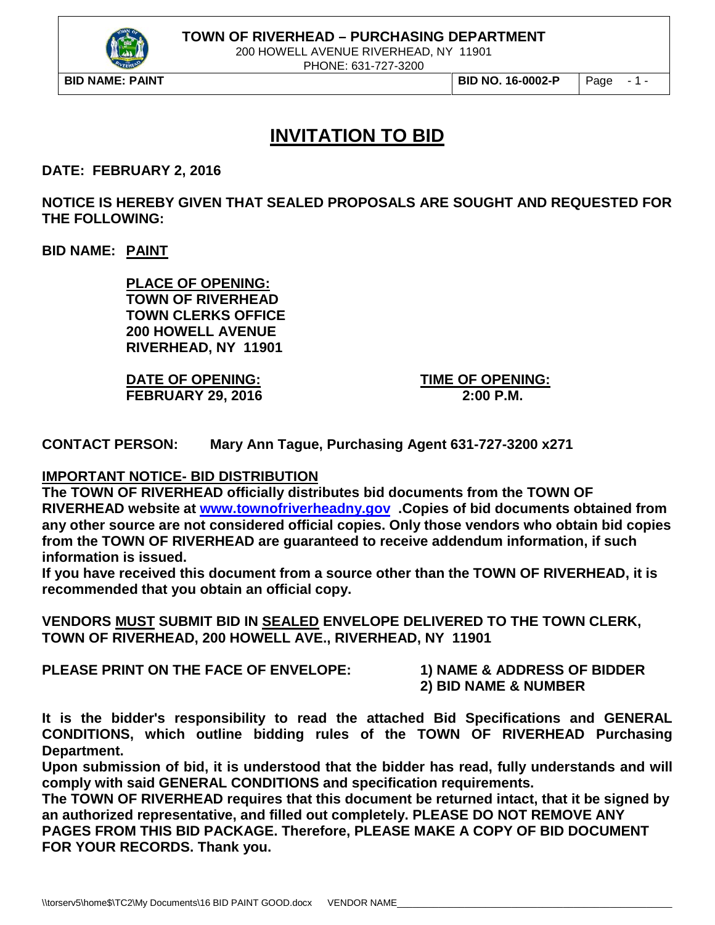

200 HOWELL AVENUE RIVERHEAD, NY 11901

PHONE: 631-727-3200

# **INVITATION TO BID**

**DATE: FEBRUARY 2, 2016**

**NOTICE IS HEREBY GIVEN THAT SEALED PROPOSALS ARE SOUGHT AND REQUESTED FOR THE FOLLOWING:**

**BID NAME: PAINT**

**PLACE OF OPENING: TOWN OF RIVERHEAD TOWN CLERKS OFFICE 200 HOWELL AVENUE RIVERHEAD, NY 11901**

**DATE OF OPENING: TIME OF OPENING: FEBRUARY 29, 2016 2:00 P.M.**

**CONTACT PERSON: Mary Ann Tague, Purchasing Agent 631-727-3200 x271**

#### **IMPORTANT NOTICE- BID DISTRIBUTION**

**The TOWN OF RIVERHEAD officially distributes bid documents from the TOWN OF RIVERHEAD website at [www.townofriverheadny.gov](http://www.townofriverheadny.gov/) .Copies of bid documents obtained from any other source are not considered official copies. Only those vendors who obtain bid copies from the TOWN OF RIVERHEAD are guaranteed to receive addendum information, if such information is issued.**

**If you have received this document from a source other than the TOWN OF RIVERHEAD, it is recommended that you obtain an official copy.**

**VENDORS MUST SUBMIT BID IN SEALED ENVELOPE DELIVERED TO THE TOWN CLERK, TOWN OF RIVERHEAD, 200 HOWELL AVE., RIVERHEAD, NY 11901**

**PLEASE PRINT ON THE FACE OF ENVELOPE: 1) NAME & ADDRESS OF BIDDER**

**2) BID NAME & NUMBER**

**It is the bidder's responsibility to read the attached Bid Specifications and GENERAL CONDITIONS, which outline bidding rules of the TOWN OF RIVERHEAD Purchasing Department.**

**Upon submission of bid, it is understood that the bidder has read, fully understands and will comply with said GENERAL CONDITIONS and specification requirements.**

**The TOWN OF RIVERHEAD requires that this document be returned intact, that it be signed by an authorized representative, and filled out completely. PLEASE DO NOT REMOVE ANY PAGES FROM THIS BID PACKAGE. Therefore, PLEASE MAKE A COPY OF BID DOCUMENT FOR YOUR RECORDS. Thank you.**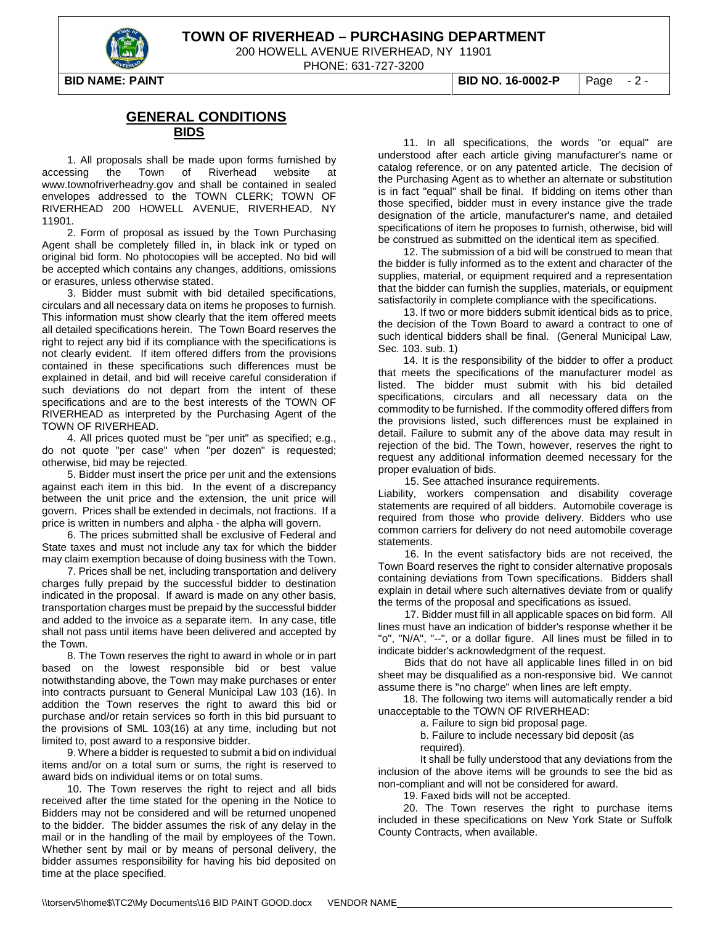

200 HOWELL AVENUE RIVERHEAD, NY 11901

PHONE: 631-727-3200

**BID NAME: PAINT BID NO. 16-0002-P** Page - 2 -

#### **GENERAL CONDITIONS BIDS**

1. All proposals shall be made upon forms furnished by accessing the Town of Riverhead website at www.townofriverheadny.gov and shall be contained in sealed envelopes addressed to the TOWN CLERK; TOWN OF RIVERHEAD 200 HOWELL AVENUE, RIVERHEAD, NY 11901.

2. Form of proposal as issued by the Town Purchasing Agent shall be completely filled in, in black ink or typed on original bid form. No photocopies will be accepted. No bid will be accepted which contains any changes, additions, omissions or erasures, unless otherwise stated.

3. Bidder must submit with bid detailed specifications, circulars and all necessary data on items he proposes to furnish. This information must show clearly that the item offered meets all detailed specifications herein. The Town Board reserves the right to reject any bid if its compliance with the specifications is not clearly evident. If item offered differs from the provisions contained in these specifications such differences must be explained in detail, and bid will receive careful consideration if such deviations do not depart from the intent of these specifications and are to the best interests of the TOWN OF RIVERHEAD as interpreted by the Purchasing Agent of the TOWN OF RIVERHEAD.

4. All prices quoted must be "per unit" as specified; e.g., do not quote "per case" when "per dozen" is requested; otherwise, bid may be rejected.

5. Bidder must insert the price per unit and the extensions against each item in this bid. In the event of a discrepancy between the unit price and the extension, the unit price will govern. Prices shall be extended in decimals, not fractions. If a price is written in numbers and alpha - the alpha will govern.

6. The prices submitted shall be exclusive of Federal and State taxes and must not include any tax for which the bidder may claim exemption because of doing business with the Town.

7. Prices shall be net, including transportation and delivery charges fully prepaid by the successful bidder to destination indicated in the proposal. If award is made on any other basis, transportation charges must be prepaid by the successful bidder and added to the invoice as a separate item. In any case, title shall not pass until items have been delivered and accepted by the Town.

8. The Town reserves the right to award in whole or in part based on the lowest responsible bid or best value notwithstanding above, the Town may make purchases or enter into contracts pursuant to General Municipal Law 103 (16). In addition the Town reserves the right to award this bid or purchase and/or retain services so forth in this bid pursuant to the provisions of SML 103(16) at any time, including but not limited to, post award to a responsive bidder.

9. Where a bidder is requested to submit a bid on individual items and/or on a total sum or sums, the right is reserved to award bids on individual items or on total sums.

10. The Town reserves the right to reject and all bids received after the time stated for the opening in the Notice to Bidders may not be considered and will be returned unopened to the bidder. The bidder assumes the risk of any delay in the mail or in the handling of the mail by employees of the Town. Whether sent by mail or by means of personal delivery, the bidder assumes responsibility for having his bid deposited on time at the place specified.

11. In all specifications, the words "or equal" are understood after each article giving manufacturer's name or catalog reference, or on any patented article. The decision of the Purchasing Agent as to whether an alternate or substitution is in fact "equal" shall be final. If bidding on items other than those specified, bidder must in every instance give the trade designation of the article, manufacturer's name, and detailed specifications of item he proposes to furnish, otherwise, bid will be construed as submitted on the identical item as specified.

12. The submission of a bid will be construed to mean that the bidder is fully informed as to the extent and character of the supplies, material, or equipment required and a representation that the bidder can furnish the supplies, materials, or equipment satisfactorily in complete compliance with the specifications.

13. If two or more bidders submit identical bids as to price, the decision of the Town Board to award a contract to one of such identical bidders shall be final. (General Municipal Law, Sec. 103. sub. 1)

14. It is the responsibility of the bidder to offer a product that meets the specifications of the manufacturer model as listed. The bidder must submit with his bid detailed specifications, circulars and all necessary data on the commodity to be furnished. If the commodity offered differs from the provisions listed, such differences must be explained in detail. Failure to submit any of the above data may result in rejection of the bid. The Town, however, reserves the right to request any additional information deemed necessary for the proper evaluation of bids.

15. See attached insurance requirements.

Liability, workers compensation and disability coverage statements are required of all bidders. Automobile coverage is required from those who provide delivery. Bidders who use common carriers for delivery do not need automobile coverage statements.

16. In the event satisfactory bids are not received, the Town Board reserves the right to consider alternative proposals containing deviations from Town specifications. Bidders shall explain in detail where such alternatives deviate from or qualify the terms of the proposal and specifications as issued.

17. Bidder must fill in all applicable spaces on bid form. All lines must have an indication of bidder's response whether it be "o", "N/A", "--", or a dollar figure. All lines must be filled in to indicate bidder's acknowledgment of the request.

Bids that do not have all applicable lines filled in on bid sheet may be disqualified as a non-responsive bid. We cannot assume there is "no charge" when lines are left empty.

18. The following two items will automatically render a bid unacceptable to the TOWN OF RIVERHEAD:

a. Failure to sign bid proposal page.

b. Failure to include necessary bid deposit (as required).

It shall be fully understood that any deviations from the inclusion of the above items will be grounds to see the bid as non-compliant and will not be considered for award.

19. Faxed bids will not be accepted.

20. The Town reserves the right to purchase items included in these specifications on New York State or Suffolk County Contracts, when available.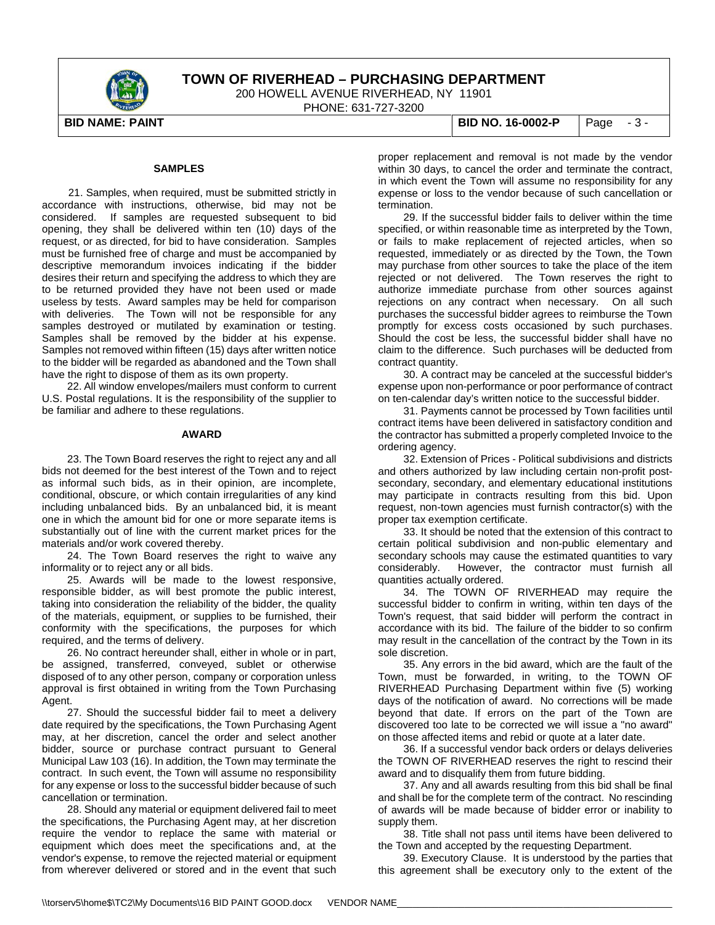

200 HOWELL AVENUE RIVERHEAD, NY 11901

PHONE: 631-727-3200

#### **SAMPLES**

21. Samples, when required, must be submitted strictly in accordance with instructions, otherwise, bid may not be considered. If samples are requested subsequent to bid opening, they shall be delivered within ten (10) days of the request, or as directed, for bid to have consideration. Samples must be furnished free of charge and must be accompanied by descriptive memorandum invoices indicating if the bidder desires their return and specifying the address to which they are to be returned provided they have not been used or made useless by tests. Award samples may be held for comparison with deliveries. The Town will not be responsible for any samples destroyed or mutilated by examination or testing. Samples shall be removed by the bidder at his expense. Samples not removed within fifteen (15) days after written notice to the bidder will be regarded as abandoned and the Town shall have the right to dispose of them as its own property.

22. All window envelopes/mailers must conform to current U.S. Postal regulations. It is the responsibility of the supplier to be familiar and adhere to these regulations.

#### **AWARD**

23. The Town Board reserves the right to reject any and all bids not deemed for the best interest of the Town and to reject as informal such bids, as in their opinion, are incomplete, conditional, obscure, or which contain irregularities of any kind including unbalanced bids. By an unbalanced bid, it is meant one in which the amount bid for one or more separate items is substantially out of line with the current market prices for the materials and/or work covered thereby.

24. The Town Board reserves the right to waive any informality or to reject any or all bids.

25. Awards will be made to the lowest responsive, responsible bidder, as will best promote the public interest, taking into consideration the reliability of the bidder, the quality of the materials, equipment, or supplies to be furnished, their conformity with the specifications, the purposes for which required, and the terms of delivery.

26. No contract hereunder shall, either in whole or in part, be assigned, transferred, conveyed, sublet or otherwise disposed of to any other person, company or corporation unless approval is first obtained in writing from the Town Purchasing Agent.

27. Should the successful bidder fail to meet a delivery date required by the specifications, the Town Purchasing Agent may, at her discretion, cancel the order and select another bidder, source or purchase contract pursuant to General Municipal Law 103 (16). In addition, the Town may terminate the contract. In such event, the Town will assume no responsibility for any expense or loss to the successful bidder because of such cancellation or termination.

28. Should any material or equipment delivered fail to meet the specifications, the Purchasing Agent may, at her discretion require the vendor to replace the same with material or equipment which does meet the specifications and, at the vendor's expense, to remove the rejected material or equipment from wherever delivered or stored and in the event that such

**BID NAME: PAINT BID NO. 16-0002-P** Page - 3 -

proper replacement and removal is not made by the vendor within 30 days, to cancel the order and terminate the contract, in which event the Town will assume no responsibility for any expense or loss to the vendor because of such cancellation or termination.

29. If the successful bidder fails to deliver within the time specified, or within reasonable time as interpreted by the Town, or fails to make replacement of rejected articles, when so requested, immediately or as directed by the Town, the Town may purchase from other sources to take the place of the item rejected or not delivered. The Town reserves the right to authorize immediate purchase from other sources against rejections on any contract when necessary. On all such purchases the successful bidder agrees to reimburse the Town promptly for excess costs occasioned by such purchases. Should the cost be less, the successful bidder shall have no claim to the difference. Such purchases will be deducted from contract quantity.

30. A contract may be canceled at the successful bidder's expense upon non-performance or poor performance of contract on ten-calendar day's written notice to the successful bidder.

31. Payments cannot be processed by Town facilities until contract items have been delivered in satisfactory condition and the contractor has submitted a properly completed Invoice to the ordering agency.

32. Extension of Prices - Political subdivisions and districts and others authorized by law including certain non-profit postsecondary, secondary, and elementary educational institutions may participate in contracts resulting from this bid. Upon request, non-town agencies must furnish contractor(s) with the proper tax exemption certificate.

33. It should be noted that the extension of this contract to certain political subdivision and non-public elementary and secondary schools may cause the estimated quantities to vary considerably. However, the contractor must furnish all quantities actually ordered.

34. The TOWN OF RIVERHEAD may require the successful bidder to confirm in writing, within ten days of the Town's request, that said bidder will perform the contract in accordance with its bid. The failure of the bidder to so confirm may result in the cancellation of the contract by the Town in its sole discretion.

35. Any errors in the bid award, which are the fault of the Town, must be forwarded, in writing, to the TOWN OF RIVERHEAD Purchasing Department within five (5) working days of the notification of award. No corrections will be made beyond that date. If errors on the part of the Town are discovered too late to be corrected we will issue a "no award" on those affected items and rebid or quote at a later date.

36. If a successful vendor back orders or delays deliveries the TOWN OF RIVERHEAD reserves the right to rescind their award and to disqualify them from future bidding.

37. Any and all awards resulting from this bid shall be final and shall be for the complete term of the contract. No rescinding of awards will be made because of bidder error or inability to supply them.

38. Title shall not pass until items have been delivered to the Town and accepted by the requesting Department.

39. Executory Clause. It is understood by the parties that this agreement shall be executory only to the extent of the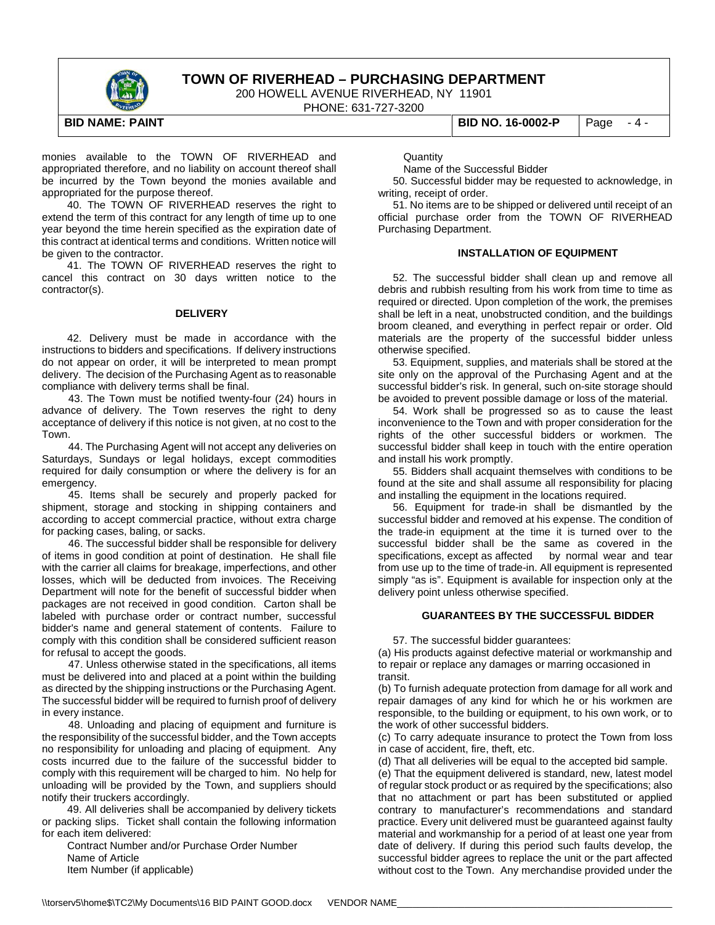

200 HOWELL AVENUE RIVERHEAD, NY 11901

PHONE: 631-727-3200

**BID NAME: PAINT BID NO. 16-0002-P** Page - 4 -

monies available to the TOWN OF RIVERHEAD and appropriated therefore, and no liability on account thereof shall be incurred by the Town beyond the monies available and appropriated for the purpose thereof.

40. The TOWN OF RIVERHEAD reserves the right to extend the term of this contract for any length of time up to one year beyond the time herein specified as the expiration date of this contract at identical terms and conditions. Written notice will be given to the contractor.

41. The TOWN OF RIVERHEAD reserves the right to cancel this contract on 30 days written notice to the contractor(s).

#### **DELIVERY**

42. Delivery must be made in accordance with the instructions to bidders and specifications. If delivery instructions do not appear on order, it will be interpreted to mean prompt delivery. The decision of the Purchasing Agent as to reasonable compliance with delivery terms shall be final.

 43. The Town must be notified twenty-four (24) hours in advance of delivery. The Town reserves the right to deny acceptance of delivery if this notice is not given, at no cost to the Town.

44. The Purchasing Agent will not accept any deliveries on Saturdays, Sundays or legal holidays, except commodities required for daily consumption or where the delivery is for an emergency.

45. Items shall be securely and properly packed for shipment, storage and stocking in shipping containers and according to accept commercial practice, without extra charge for packing cases, baling, or sacks.

46. The successful bidder shall be responsible for delivery of items in good condition at point of destination. He shall file with the carrier all claims for breakage, imperfections, and other losses, which will be deducted from invoices. The Receiving Department will note for the benefit of successful bidder when packages are not received in good condition. Carton shall be labeled with purchase order or contract number, successful bidder's name and general statement of contents. Failure to comply with this condition shall be considered sufficient reason for refusal to accept the goods.

47. Unless otherwise stated in the specifications, all items must be delivered into and placed at a point within the building as directed by the shipping instructions or the Purchasing Agent. The successful bidder will be required to furnish proof of delivery in every instance.

48. Unloading and placing of equipment and furniture is the responsibility of the successful bidder, and the Town accepts no responsibility for unloading and placing of equipment. Any costs incurred due to the failure of the successful bidder to comply with this requirement will be charged to him. No help for unloading will be provided by the Town, and suppliers should notify their truckers accordingly.

49. All deliveries shall be accompanied by delivery tickets or packing slips. Ticket shall contain the following information for each item delivered:

Contract Number and/or Purchase Order Number Name of Article Item Number (if applicable)

**Quantity** 

Name of the Successful Bidder

 50. Successful bidder may be requested to acknowledge, in writing, receipt of order.

 51. No items are to be shipped or delivered until receipt of an official purchase order from the TOWN OF RIVERHEAD Purchasing Department.

#### **INSTALLATION OF EQUIPMENT**

 52. The successful bidder shall clean up and remove all debris and rubbish resulting from his work from time to time as required or directed. Upon completion of the work, the premises shall be left in a neat, unobstructed condition, and the buildings broom cleaned, and everything in perfect repair or order. Old materials are the property of the successful bidder unless otherwise specified.

 53. Equipment, supplies, and materials shall be stored at the site only on the approval of the Purchasing Agent and at the successful bidder's risk. In general, such on-site storage should be avoided to prevent possible damage or loss of the material.

 54. Work shall be progressed so as to cause the least inconvenience to the Town and with proper consideration for the rights of the other successful bidders or workmen. The successful bidder shall keep in touch with the entire operation and install his work promptly.

 55. Bidders shall acquaint themselves with conditions to be found at the site and shall assume all responsibility for placing and installing the equipment in the locations required.

 56. Equipment for trade-in shall be dismantled by the successful bidder and removed at his expense. The condition of the trade-in equipment at the time it is turned over to the successful bidder shall be the same as covered in the specifications, except as affected by normal wear and tear from use up to the time of trade-in. All equipment is represented simply "as is". Equipment is available for inspection only at the delivery point unless otherwise specified.

#### **GUARANTEES BY THE SUCCESSFUL BIDDER**

57. The successful bidder guarantees:

(a) His products against defective material or workmanship and to repair or replace any damages or marring occasioned in transit.

(b) To furnish adequate protection from damage for all work and repair damages of any kind for which he or his workmen are responsible, to the building or equipment, to his own work, or to the work of other successful bidders.

(c) To carry adequate insurance to protect the Town from loss in case of accident, fire, theft, etc.

(d) That all deliveries will be equal to the accepted bid sample.

(e) That the equipment delivered is standard, new, latest model of regular stock product or as required by the specifications; also that no attachment or part has been substituted or applied contrary to manufacturer's recommendations and standard practice. Every unit delivered must be guaranteed against faulty material and workmanship for a period of at least one year from date of delivery. If during this period such faults develop, the successful bidder agrees to replace the unit or the part affected without cost to the Town. Any merchandise provided under the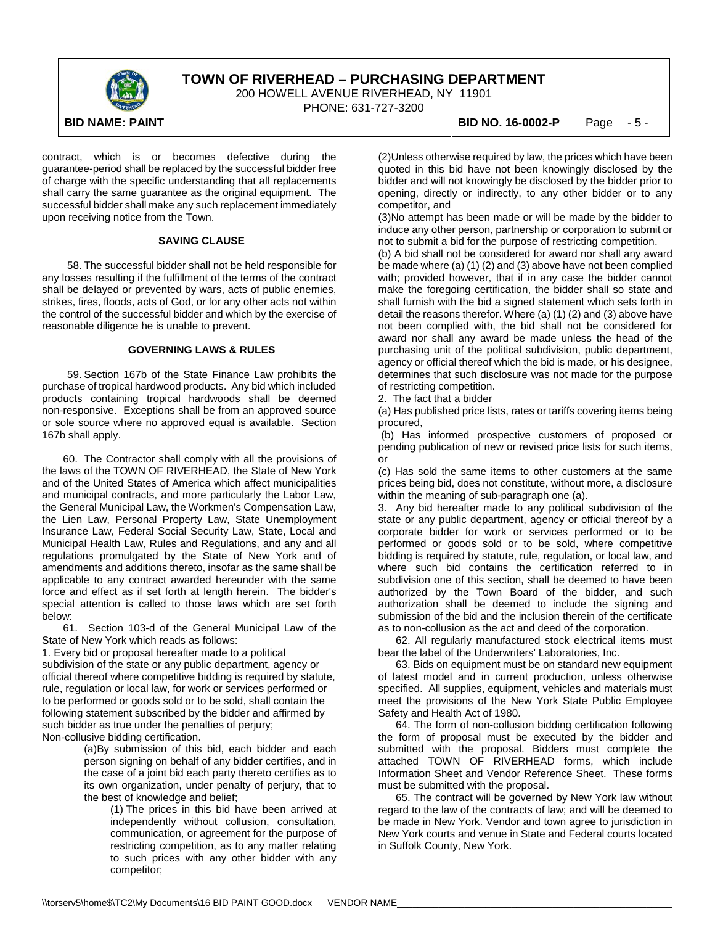

200 HOWELL AVENUE RIVERHEAD, NY 11901

PHONE: 631-727-3200

contract, which is or becomes defective during the guarantee-period shall be replaced by the successful bidder free of charge with the specific understanding that all replacements shall carry the same guarantee as the original equipment. The successful bidder shall make any such replacement immediately upon receiving notice from the Town.

#### **SAVING CLAUSE**

58. The successful bidder shall not be held responsible for any losses resulting if the fulfillment of the terms of the contract shall be delayed or prevented by wars, acts of public enemies, strikes, fires, floods, acts of God, or for any other acts not within the control of the successful bidder and which by the exercise of reasonable diligence he is unable to prevent.

#### **GOVERNING LAWS & RULES**

59. Section 167b of the State Finance Law prohibits the purchase of tropical hardwood products. Any bid which included products containing tropical hardwoods shall be deemed non-responsive. Exceptions shall be from an approved source or sole source where no approved equal is available. Section 167b shall apply.

60. The Contractor shall comply with all the provisions of the laws of the TOWN OF RIVERHEAD, the State of New York and of the United States of America which affect municipalities and municipal contracts, and more particularly the Labor Law, the General Municipal Law, the Workmen's Compensation Law, the Lien Law, Personal Property Law, State Unemployment Insurance Law, Federal Social Security Law, State, Local and Municipal Health Law, Rules and Regulations, and any and all regulations promulgated by the State of New York and of amendments and additions thereto, insofar as the same shall be applicable to any contract awarded hereunder with the same force and effect as if set forth at length herein. The bidder's special attention is called to those laws which are set forth below:

61. Section 103-d of the General Municipal Law of the State of New York which reads as follows:

1. Every bid or proposal hereafter made to a political subdivision of the state or any public department, agency or official thereof where competitive bidding is required by statute, rule, regulation or local law, for work or services performed or to be performed or goods sold or to be sold, shall contain the following statement subscribed by the bidder and affirmed by such bidder as true under the penalties of perjury; Non-collusive bidding certification.

> (a)By submission of this bid, each bidder and each person signing on behalf of any bidder certifies, and in the case of a joint bid each party thereto certifies as to its own organization, under penalty of perjury, that to the best of knowledge and belief;

(1) The prices in this bid have been arrived at independently without collusion, consultation, communication, or agreement for the purpose of restricting competition, as to any matter relating to such prices with any other bidder with any competitor;

**BID NAME: PAINT BID NO. 16-0002-P** Page - 5 -

(2)Unless otherwise required by law, the prices which have been quoted in this bid have not been knowingly disclosed by the bidder and will not knowingly be disclosed by the bidder prior to opening, directly or indirectly, to any other bidder or to any competitor, and

(3)No attempt has been made or will be made by the bidder to induce any other person, partnership or corporation to submit or not to submit a bid for the purpose of restricting competition.

(b) A bid shall not be considered for award nor shall any award be made where (a) (1) (2) and (3) above have not been complied with; provided however, that if in any case the bidder cannot make the foregoing certification, the bidder shall so state and shall furnish with the bid a signed statement which sets forth in detail the reasons therefor. Where (a) (1) (2) and (3) above have not been complied with, the bid shall not be considered for award nor shall any award be made unless the head of the purchasing unit of the political subdivision, public department, agency or official thereof which the bid is made, or his designee, determines that such disclosure was not made for the purpose of restricting competition.

2. The fact that a bidder

(a) Has published price lists, rates or tariffs covering items being procured,

(b) Has informed prospective customers of proposed or pending publication of new or revised price lists for such items, or

(c) Has sold the same items to other customers at the same prices being bid, does not constitute, without more, a disclosure within the meaning of sub-paragraph one (a).

3. Any bid hereafter made to any political subdivision of the state or any public department, agency or official thereof by a corporate bidder for work or services performed or to be performed or goods sold or to be sold, where competitive bidding is required by statute, rule, regulation, or local law, and where such bid contains the certification referred to in subdivision one of this section, shall be deemed to have been authorized by the Town Board of the bidder, and such authorization shall be deemed to include the signing and submission of the bid and the inclusion therein of the certificate as to non-collusion as the act and deed of the corporation.

 62. All regularly manufactured stock electrical items must bear the label of the Underwriters' Laboratories, Inc.

 63. Bids on equipment must be on standard new equipment of latest model and in current production, unless otherwise specified. All supplies, equipment, vehicles and materials must meet the provisions of the New York State Public Employee Safety and Health Act of 1980.

 64. The form of non-collusion bidding certification following the form of proposal must be executed by the bidder and submitted with the proposal. Bidders must complete the attached TOWN OF RIVERHEAD forms, which include Information Sheet and Vendor Reference Sheet. These forms must be submitted with the proposal.

 65. The contract will be governed by New York law without regard to the law of the contracts of law; and will be deemed to be made in New York. Vendor and town agree to jurisdiction in New York courts and venue in State and Federal courts located in Suffolk County, New York.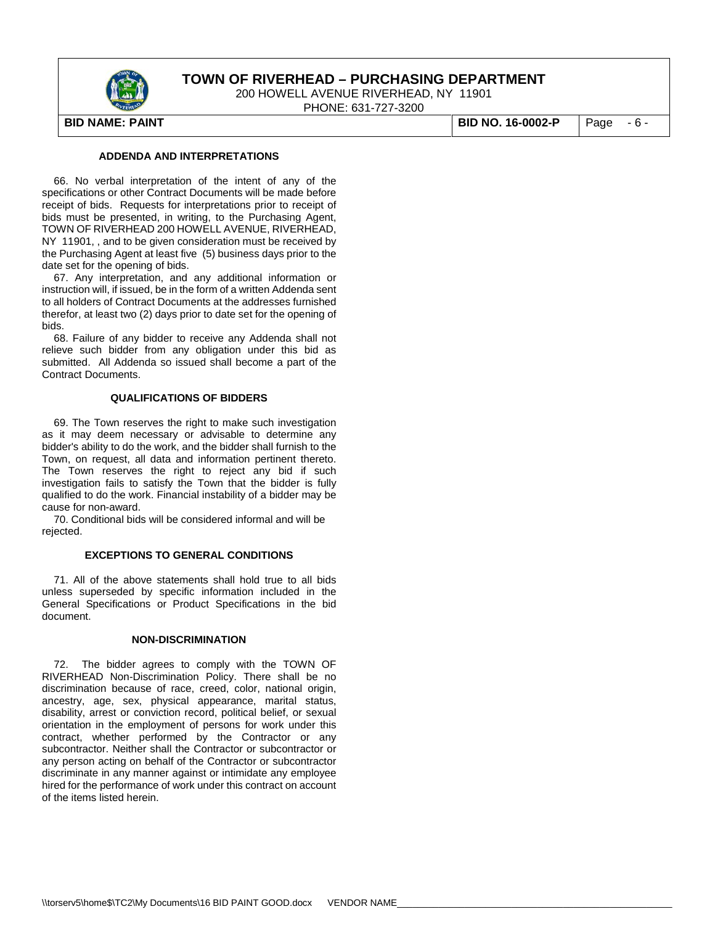

200 HOWELL AVENUE RIVERHEAD, NY 11901

PHONE: 631-727-3200

**BID NAME: PAINT BID NO. 16-0002-P** Page - 6 -

#### **ADDENDA AND INTERPRETATIONS**

 66. No verbal interpretation of the intent of any of the specifications or other Contract Documents will be made before receipt of bids. Requests for interpretations prior to receipt of bids must be presented, in writing, to the Purchasing Agent, TOWN OF RIVERHEAD 200 HOWELL AVENUE, RIVERHEAD, NY 11901, , and to be given consideration must be received by the Purchasing Agent at least five (5) business days prior to the date set for the opening of bids.

 67. Any interpretation, and any additional information or instruction will, if issued, be in the form of a written Addenda sent to all holders of Contract Documents at the addresses furnished therefor, at least two (2) days prior to date set for the opening of bids.

 68. Failure of any bidder to receive any Addenda shall not relieve such bidder from any obligation under this bid as submitted. All Addenda so issued shall become a part of the Contract Documents.

#### **QUALIFICATIONS OF BIDDERS**

 69. The Town reserves the right to make such investigation as it may deem necessary or advisable to determine any bidder's ability to do the work, and the bidder shall furnish to the Town, on request, all data and information pertinent thereto. The Town reserves the right to reject any bid if such investigation fails to satisfy the Town that the bidder is fully qualified to do the work. Financial instability of a bidder may be cause for non-award.

 70. Conditional bids will be considered informal and will be rejected.

#### **EXCEPTIONS TO GENERAL CONDITIONS**

 71. All of the above statements shall hold true to all bids unless superseded by specific information included in the General Specifications or Product Specifications in the bid document.

#### **NON-DISCRIMINATION**

 72. The bidder agrees to comply with the TOWN OF RIVERHEAD Non-Discrimination Policy. There shall be no discrimination because of race, creed, color, national origin, ancestry, age, sex, physical appearance, marital status, disability, arrest or conviction record, political belief, or sexual orientation in the employment of persons for work under this contract, whether performed by the Contractor or any subcontractor. Neither shall the Contractor or subcontractor or any person acting on behalf of the Contractor or subcontractor discriminate in any manner against or intimidate any employee hired for the performance of work under this contract on account of the items listed herein.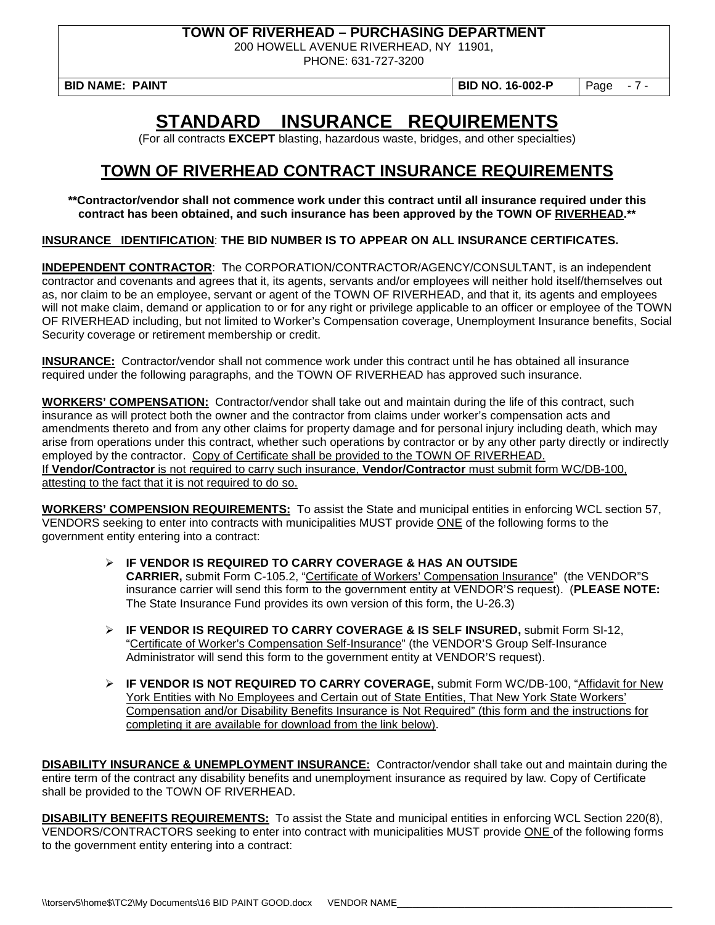200 HOWELL AVENUE RIVERHEAD, NY 11901,

PHONE: 631-727-3200

**BID NAME: PAINT BID NO. 16-002-P** Page - 7 -

# **STANDARD INSURANCE REQUIREMENTS**

(For all contracts **EXCEPT** blasting, hazardous waste, bridges, and other specialties)

## **TOWN OF RIVERHEAD CONTRACT INSURANCE REQUIREMENTS**

**\*\*Contractor/vendor shall not commence work under this contract until all insurance required under this contract has been obtained, and such insurance has been approved by the TOWN OF RIVERHEAD.\*\***

**INSURANCE IDENTIFICATION**: **THE BID NUMBER IS TO APPEAR ON ALL INSURANCE CERTIFICATES.**

**INDEPENDENT CONTRACTOR**: The CORPORATION/CONTRACTOR/AGENCY/CONSULTANT, is an independent contractor and covenants and agrees that it, its agents, servants and/or employees will neither hold itself/themselves out as, nor claim to be an employee, servant or agent of the TOWN OF RIVERHEAD, and that it, its agents and employees will not make claim, demand or application to or for any right or privilege applicable to an officer or employee of the TOWN OF RIVERHEAD including, but not limited to Worker's Compensation coverage, Unemployment Insurance benefits, Social Security coverage or retirement membership or credit.

**INSURANCE:** Contractor/vendor shall not commence work under this contract until he has obtained all insurance required under the following paragraphs, and the TOWN OF RIVERHEAD has approved such insurance.

**WORKERS' COMPENSATION:** Contractor/vendor shall take out and maintain during the life of this contract, such insurance as will protect both the owner and the contractor from claims under worker's compensation acts and amendments thereto and from any other claims for property damage and for personal injury including death, which may arise from operations under this contract, whether such operations by contractor or by any other party directly or indirectly employed by the contractor. Copy of Certificate shall be provided to the TOWN OF RIVERHEAD. If **Vendor/Contractor** is not required to carry such insurance, **Vendor/Contractor** must submit form WC/DB-100, attesting to the fact that it is not required to do so.

**WORKERS' COMPENSION REQUIREMENTS:** To assist the State and municipal entities in enforcing WCL section 57, VENDORS seeking to enter into contracts with municipalities MUST provide ONE of the following forms to the government entity entering into a contract:

- **IF VENDOR IS REQUIRED TO CARRY COVERAGE & HAS AN OUTSIDE CARRIER,** submit Form C-105.2, "Certificate of Workers' Compensation Insurance" (the VENDOR"S insurance carrier will send this form to the government entity at VENDOR'S request). (**PLEASE NOTE:** The State Insurance Fund provides its own version of this form, the U-26.3)
- **IF VENDOR IS REQUIRED TO CARRY COVERAGE & IS SELF INSURED,** submit Form SI-12, "Certificate of Worker's Compensation Self-Insurance" (the VENDOR'S Group Self-Insurance Administrator will send this form to the government entity at VENDOR'S request).
- **IF VENDOR IS NOT REQUIRED TO CARRY COVERAGE,** submit Form WC/DB-100, "Affidavit for New York Entities with No Employees and Certain out of State Entities, That New York State Workers' Compensation and/or Disability Benefits Insurance is Not Required" (this form and the instructions for completing it are available for download from the link below).

**DISABILITY INSURANCE & UNEMPLOYMENT INSURANCE:** Contractor/vendor shall take out and maintain during the entire term of the contract any disability benefits and unemployment insurance as required by law. Copy of Certificate shall be provided to the TOWN OF RIVERHEAD.

**DISABILITY BENEFITS REQUIREMENTS:** To assist the State and municipal entities in enforcing WCL Section 220(8), VENDORS/CONTRACTORS seeking to enter into contract with municipalities MUST provide ONE of the following forms to the government entity entering into a contract: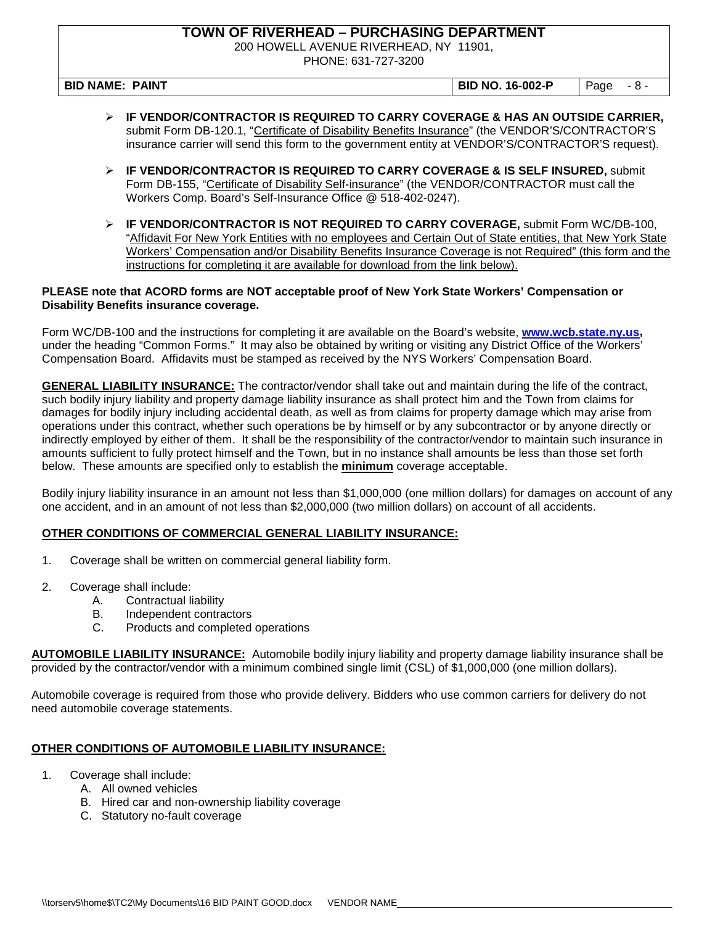200 HOWELL AVENUE RIVERHEAD, NY 11901,

PHONE: 631-727-3200

**BID NAME: PAINT BID NO. 16-002-P** Page - 8 -

- **IF VENDOR/CONTRACTOR IS REQUIRED TO CARRY COVERAGE & HAS AN OUTSIDE CARRIER,**  submit Form DB-120.1, "Certificate of Disability Benefits Insurance" (the VENDOR'S/CONTRACTOR'S insurance carrier will send this form to the government entity at VENDOR'S/CONTRACTOR'S request).
- **IF VENDOR/CONTRACTOR IS REQUIRED TO CARRY COVERAGE & IS SELF INSURED,** submit Form DB-155, "Certificate of Disability Self-insurance" (the VENDOR/CONTRACTOR must call the Workers Comp. Board's Self-Insurance Office @ 518-402-0247).
- **IF VENDOR/CONTRACTOR IS NOT REQUIRED TO CARRY COVERAGE,** submit Form WC/DB-100, "Affidavit For New York Entities with no employees and Certain Out of State entities, that New York State Workers' Compensation and/or Disability Benefits Insurance Coverage is not Required" (this form and the instructions for completing it are available for download from the link below).

#### **PLEASE note that ACORD forms are NOT acceptable proof of New York State Workers' Compensation or Disability Benefits insurance coverage.**

Form WC/DB-100 and the instructions for completing it are available on the Board's website, **[www.wcb.state.ny.us,](http://www.wcb.state.ny.us/)**  under the heading "Common Forms." It may also be obtained by writing or visiting any District Office of the Workers' Compensation Board. Affidavits must be stamped as received by the NYS Workers' Compensation Board.

**GENERAL LIABILITY INSURANCE:** The contractor/vendor shall take out and maintain during the life of the contract, such bodily injury liability and property damage liability insurance as shall protect him and the Town from claims for damages for bodily injury including accidental death, as well as from claims for property damage which may arise from operations under this contract, whether such operations be by himself or by any subcontractor or by anyone directly or indirectly employed by either of them. It shall be the responsibility of the contractor/vendor to maintain such insurance in amounts sufficient to fully protect himself and the Town, but in no instance shall amounts be less than those set forth below. These amounts are specified only to establish the **minimum** coverage acceptable.

Bodily injury liability insurance in an amount not less than \$1,000,000 (one million dollars) for damages on account of any one accident, and in an amount of not less than \$2,000,000 (two million dollars) on account of all accidents.

#### **OTHER CONDITIONS OF COMMERCIAL GENERAL LIABILITY INSURANCE:**

- 1. Coverage shall be written on commercial general liability form.
- 2. Coverage shall include:
	- A. Contractual liability
	- B. Independent contractors<br>C. Products and completed
	- Products and completed operations

**AUTOMOBILE LIABILITY INSURANCE:** Automobile bodily injury liability and property damage liability insurance shall be provided by the contractor/vendor with a minimum combined single limit (CSL) of \$1,000,000 (one million dollars).

Automobile coverage is required from those who provide delivery. Bidders who use common carriers for delivery do not need automobile coverage statements.

#### **OTHER CONDITIONS OF AUTOMOBILE LIABILITY INSURANCE:**

- 1. Coverage shall include:
	- A. All owned vehicles
		- B. Hired car and non-ownership liability coverage
		- C. Statutory no-fault coverage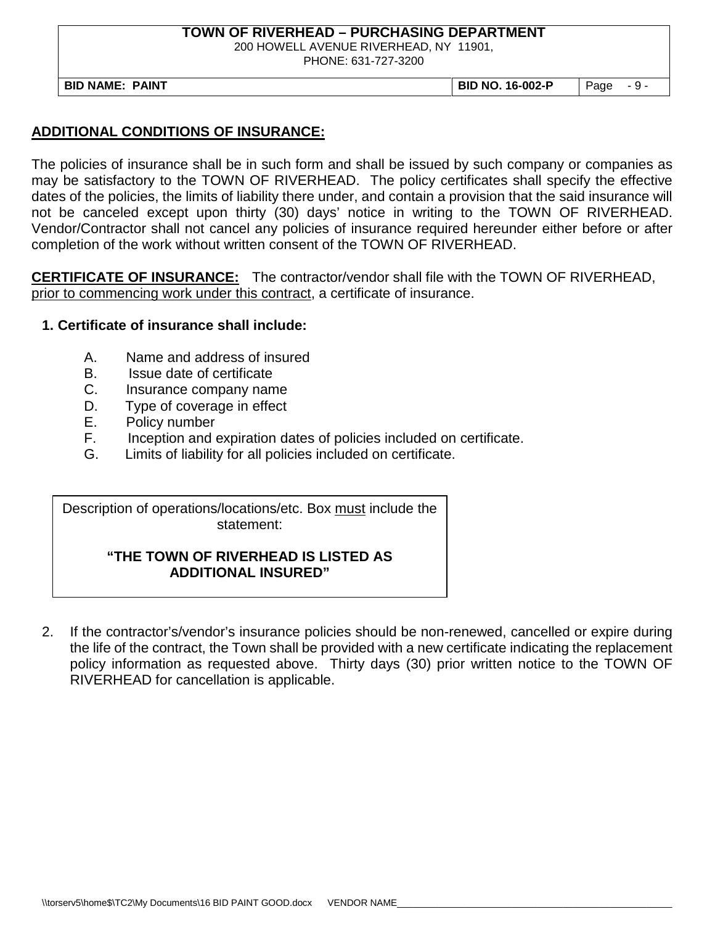200 HOWELL AVENUE RIVERHEAD, NY 11901,

PHONE: 631-727-3200

**BID NAME: PAINT BID NO. 16-002-P** Page - 9 -

#### **ADDITIONAL CONDITIONS OF INSURANCE:**

The policies of insurance shall be in such form and shall be issued by such company or companies as may be satisfactory to the TOWN OF RIVERHEAD. The policy certificates shall specify the effective dates of the policies, the limits of liability there under, and contain a provision that the said insurance will not be canceled except upon thirty (30) days' notice in writing to the TOWN OF RIVERHEAD. Vendor/Contractor shall not cancel any policies of insurance required hereunder either before or after completion of the work without written consent of the TOWN OF RIVERHEAD.

**CERTIFICATE OF INSURANCE:** The contractor/vendor shall file with the TOWN OF RIVERHEAD, prior to commencing work under this contract, a certificate of insurance.

#### **1. Certificate of insurance shall include:**

- A. Name and address of insured
- B. Issue date of certificate
- C. Insurance company name
- D. Type of coverage in effect
- E. Policy number<br>F. Inception and
- Inception and expiration dates of policies included on certificate.
- G. Limits of liability for all policies included on certificate.

Description of operations/locations/etc. Box must include the statement:

#### **"THE TOWN OF RIVERHEAD IS LISTED AS ADDITIONAL INSURED"**

2. If the contractor's/vendor's insurance policies should be non-renewed, cancelled or expire during  the life of the contract, the Town shall be provided with a new certificate indicating the replacement  policy information as requested above. Thirty days (30) prior written notice to the TOWN OF RIVERHEAD for cancellation is applicable.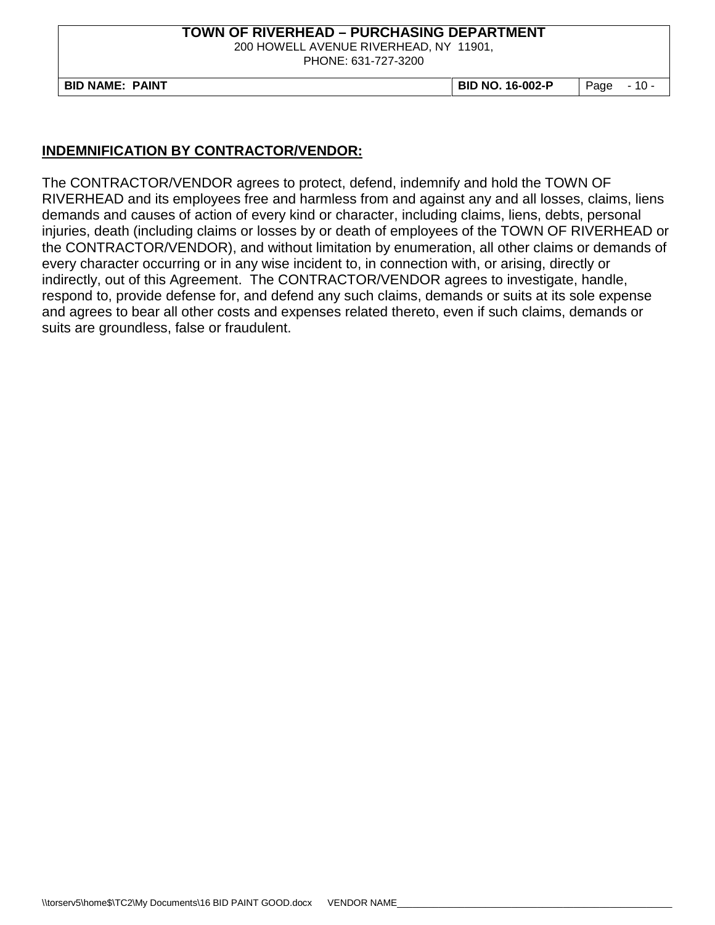200 HOWELL AVENUE RIVERHEAD, NY 11901,

PHONE: 631-727-3200

**BID NAME: PAINT BID NO. 16-002-P** Page - 10 -

### **INDEMNIFICATION BY CONTRACTOR/VENDOR:**

The CONTRACTOR/VENDOR agrees to protect, defend, indemnify and hold the TOWN OF RIVERHEAD and its employees free and harmless from and against any and all losses, claims, liens demands and causes of action of every kind or character, including claims, liens, debts, personal injuries, death (including claims or losses by or death of employees of the TOWN OF RIVERHEAD or the CONTRACTOR/VENDOR), and without limitation by enumeration, all other claims or demands of every character occurring or in any wise incident to, in connection with, or arising, directly or indirectly, out of this Agreement. The CONTRACTOR/VENDOR agrees to investigate, handle, respond to, provide defense for, and defend any such claims, demands or suits at its sole expense and agrees to bear all other costs and expenses related thereto, even if such claims, demands or suits are groundless, false or fraudulent.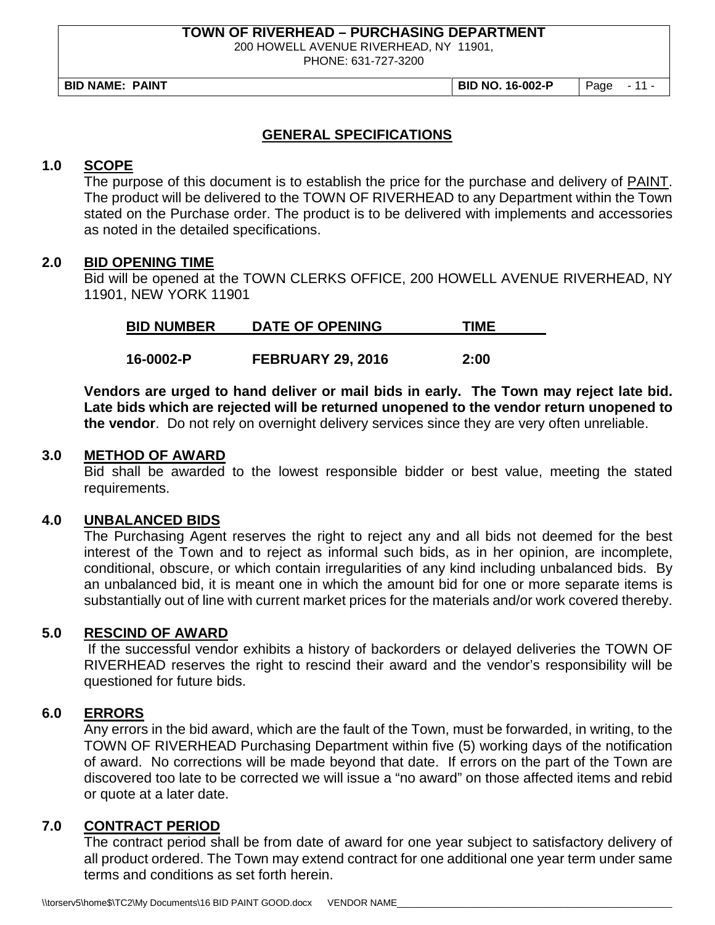200 HOWELL AVENUE RIVERHEAD, NY 11901,

PHONE: 631-727-3200

**BID NAME: PAINT BID NO. 16-002-P** Page - 11 -

### **GENERAL SPECIFICATIONS**

#### **1.0 SCOPE**

The purpose of this document is to establish the price for the purchase and delivery of PAINT. The product will be delivered to the TOWN OF RIVERHEAD to any Department within the Town stated on the Purchase order. The product is to be delivered with implements and accessories as noted in the detailed specifications.

#### **2.0 BID OPENING TIME**

Bid will be opened at the TOWN CLERKS OFFICE, 200 HOWELL AVENUE RIVERHEAD, NY 11901, NEW YORK 11901

| <b>BID NUMBER</b> | <b>DATE OF OPENING</b> | ⊺IMI |
|-------------------|------------------------|------|
|                   |                        |      |

**16-0002-P FEBRUARY 29, 2016 2:00**

**Vendors are urged to hand deliver or mail bids in early. The Town may reject late bid. Late bids which are rejected will be returned unopened to the vendor return unopened to the vendor**. Do not rely on overnight delivery services since they are very often unreliable.

#### **3.0 METHOD OF AWARD**

Bid shall be awarded to the lowest responsible bidder or best value, meeting the stated requirements.

#### **4.0 UNBALANCED BIDS**

The Purchasing Agent reserves the right to reject any and all bids not deemed for the best interest of the Town and to reject as informal such bids, as in her opinion, are incomplete, conditional, obscure, or which contain irregularities of any kind including unbalanced bids. By an unbalanced bid, it is meant one in which the amount bid for one or more separate items is substantially out of line with current market prices for the materials and/or work covered thereby.

#### **5.0 RESCIND OF AWARD**

If the successful vendor exhibits a history of backorders or delayed deliveries the TOWN OF RIVERHEAD reserves the right to rescind their award and the vendor's responsibility will be questioned for future bids.

#### **6.0 ERRORS**

Any errors in the bid award, which are the fault of the Town, must be forwarded, in writing, to the TOWN OF RIVERHEAD Purchasing Department within five (5) working days of the notification of award. No corrections will be made beyond that date. If errors on the part of the Town are discovered too late to be corrected we will issue a "no award" on those affected items and rebid or quote at a later date.

### **7.0 CONTRACT PERIOD**

The contract period shall be from date of award for one year subject to satisfactory delivery of all product ordered. The Town may extend contract for one additional one year term under same terms and conditions as set forth herein.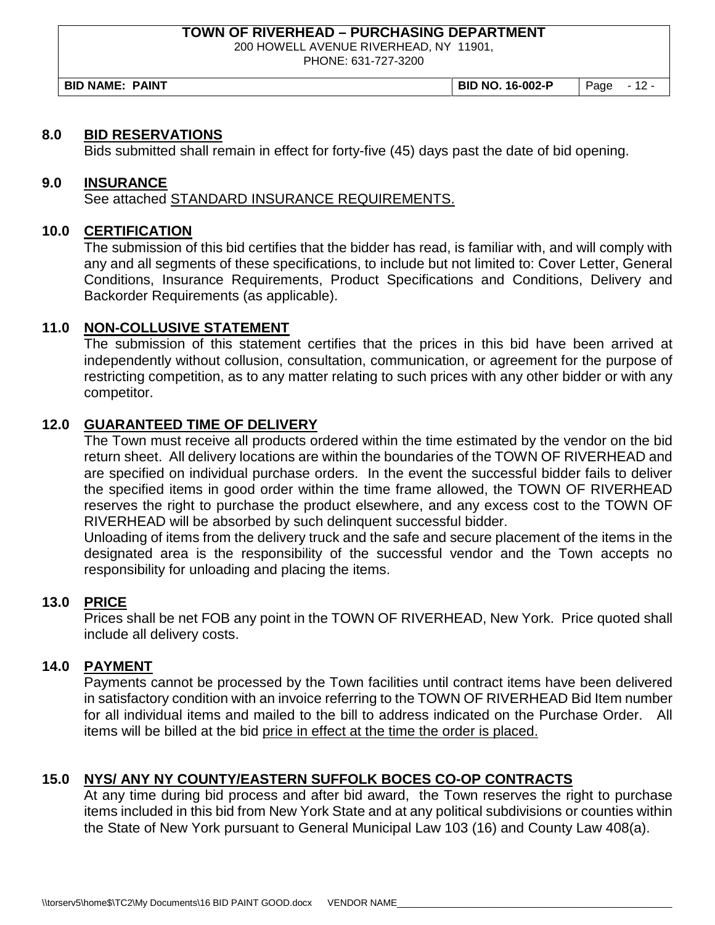200 HOWELL AVENUE RIVERHEAD, NY 11901,

PHONE: 631-727-3200

**BID NAME: PAINT BID NO. 16-002-P** Page - 12 -

#### **8.0 BID RESERVATIONS**

Bids submitted shall remain in effect for forty-five (45) days past the date of bid opening.

#### **9.0 INSURANCE**

See attached STANDARD INSURANCE REQUIREMENTS.

#### **10.0 CERTIFICATION**

The submission of this bid certifies that the bidder has read, is familiar with, and will comply with any and all segments of these specifications, to include but not limited to: Cover Letter, General Conditions, Insurance Requirements, Product Specifications and Conditions, Delivery and Backorder Requirements (as applicable).

#### **11.0 NON-COLLUSIVE STATEMENT**

The submission of this statement certifies that the prices in this bid have been arrived at independently without collusion, consultation, communication, or agreement for the purpose of restricting competition, as to any matter relating to such prices with any other bidder or with any competitor.

#### **12.0 GUARANTEED TIME OF DELIVERY**

The Town must receive all products ordered within the time estimated by the vendor on the bid return sheet. All delivery locations are within the boundaries of the TOWN OF RIVERHEAD and are specified on individual purchase orders. In the event the successful bidder fails to deliver the specified items in good order within the time frame allowed, the TOWN OF RIVERHEAD reserves the right to purchase the product elsewhere, and any excess cost to the TOWN OF RIVERHEAD will be absorbed by such delinquent successful bidder.

Unloading of items from the delivery truck and the safe and secure placement of the items in the designated area is the responsibility of the successful vendor and the Town accepts no responsibility for unloading and placing the items.

#### **13.0 PRICE**

Prices shall be net FOB any point in the TOWN OF RIVERHEAD, New York. Price quoted shall include all delivery costs.

#### **14.0 PAYMENT**

Payments cannot be processed by the Town facilities until contract items have been delivered in satisfactory condition with an invoice referring to the TOWN OF RIVERHEAD Bid Item number for all individual items and mailed to the bill to address indicated on the Purchase Order. All items will be billed at the bid price in effect at the time the order is placed.

#### **15.0 NYS/ ANY NY COUNTY/EASTERN SUFFOLK BOCES CO-OP CONTRACTS**

At any time during bid process and after bid award, the Town reserves the right to purchase items included in this bid from New York State and at any political subdivisions or counties within the State of New York pursuant to General Municipal Law 103 (16) and County Law 408(a).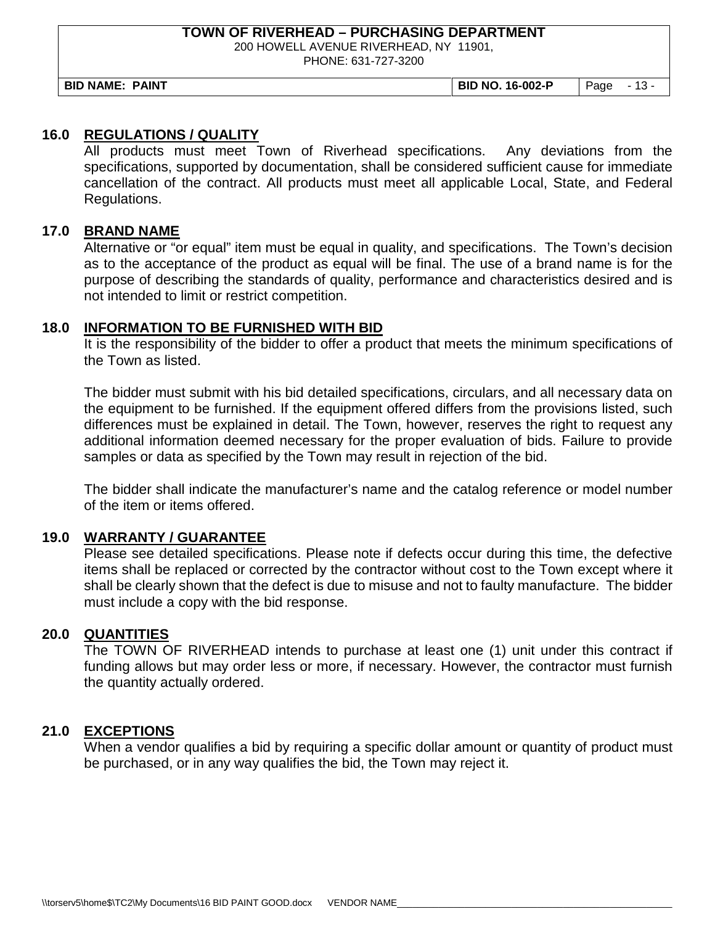200 HOWELL AVENUE RIVERHEAD, NY 11901,

PHONE: 631-727-3200

**BID NAME: PAINT BID NO. 16-002-P** Page - 13 -

#### **16.0 REGULATIONS / QUALITY**

All products must meet Town of Riverhead specifications. Any deviations from the specifications, supported by documentation, shall be considered sufficient cause for immediate cancellation of the contract. All products must meet all applicable Local, State, and Federal Regulations.

#### **17.0 BRAND NAME**

Alternative or "or equal" item must be equal in quality, and specifications. The Town's decision as to the acceptance of the product as equal will be final. The use of a brand name is for the purpose of describing the standards of quality, performance and characteristics desired and is not intended to limit or restrict competition.

#### **18.0 INFORMATION TO BE FURNISHED WITH BID**

It is the responsibility of the bidder to offer a product that meets the minimum specifications of the Town as listed.

The bidder must submit with his bid detailed specifications, circulars, and all necessary data on the equipment to be furnished. If the equipment offered differs from the provisions listed, such differences must be explained in detail. The Town, however, reserves the right to request any additional information deemed necessary for the proper evaluation of bids. Failure to provide samples or data as specified by the Town may result in rejection of the bid.

The bidder shall indicate the manufacturer's name and the catalog reference or model number of the item or items offered.

#### **19.0 WARRANTY / GUARANTEE**

Please see detailed specifications. Please note if defects occur during this time, the defective items shall be replaced or corrected by the contractor without cost to the Town except where it shall be clearly shown that the defect is due to misuse and not to faulty manufacture. The bidder must include a copy with the bid response.

#### **20.0 QUANTITIES**

The TOWN OF RIVERHEAD intends to purchase at least one (1) unit under this contract if funding allows but may order less or more, if necessary. However, the contractor must furnish the quantity actually ordered.

#### **21.0 EXCEPTIONS**

When a vendor qualifies a bid by requiring a specific dollar amount or quantity of product must be purchased, or in any way qualifies the bid, the Town may reject it.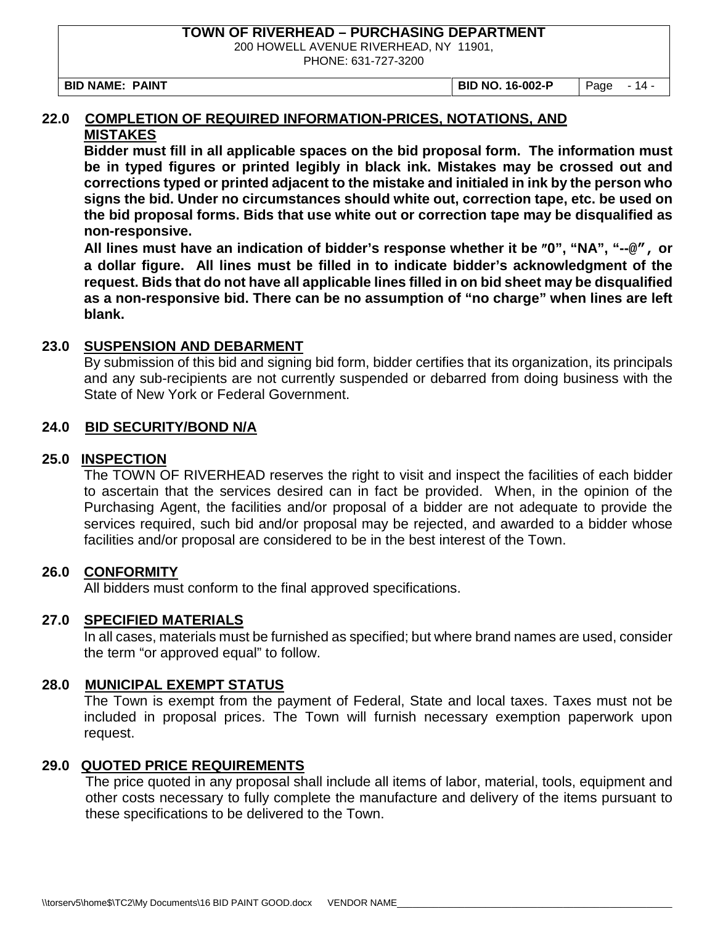200 HOWELL AVENUE RIVERHEAD, NY 11901,

PHONE: 631-727-3200

**BID NAME: PAINT BID NO. 16-002-P** Page - 14 -

#### **22.0 COMPLETION OF REQUIRED INFORMATION-PRICES, NOTATIONS, AND MISTAKES**

**Bidder must fill in all applicable spaces on the bid proposal form. The information must be in typed figures or printed legibly in black ink. Mistakes may be crossed out and corrections typed or printed adjacent to the mistake and initialed in ink by the person who signs the bid. Under no circumstances should white out, correction tape, etc. be used on the bid proposal forms. Bids that use white out or correction tape may be disqualified as non-responsive.**

**All lines must have an indication of bidder's response whether it be** ″**0", "NA", "--@", or a dollar figure. All lines must be filled in to indicate bidder's acknowledgment of the request. Bids that do not have all applicable lines filled in on bid sheet may be disqualified as a non-responsive bid. There can be no assumption of "no charge" when lines are left blank.**

#### **23.0 SUSPENSION AND DEBARMENT**

By submission of this bid and signing bid form, bidder certifies that its organization, its principals and any sub-recipients are not currently suspended or debarred from doing business with the State of New York or Federal Government.

#### **24.0 BID SECURITY/BOND N/A**

#### **25.0 INSPECTION**

The TOWN OF RIVERHEAD reserves the right to visit and inspect the facilities of each bidder to ascertain that the services desired can in fact be provided. When, in the opinion of the Purchasing Agent, the facilities and/or proposal of a bidder are not adequate to provide the services required, such bid and/or proposal may be rejected, and awarded to a bidder whose facilities and/or proposal are considered to be in the best interest of the Town.

#### **26.0 CONFORMITY**

All bidders must conform to the final approved specifications.

#### **27.0 SPECIFIED MATERIALS**

In all cases, materials must be furnished as specified; but where brand names are used, consider the term "or approved equal" to follow.

#### **28.0 MUNICIPAL EXEMPT STATUS**

The Town is exempt from the payment of Federal, State and local taxes. Taxes must not be included in proposal prices. The Town will furnish necessary exemption paperwork upon request.

#### **29.0 QUOTED PRICE REQUIREMENTS**

The price quoted in any proposal shall include all items of labor, material, tools, equipment and other costs necessary to fully complete the manufacture and delivery of the items pursuant to these specifications to be delivered to the Town.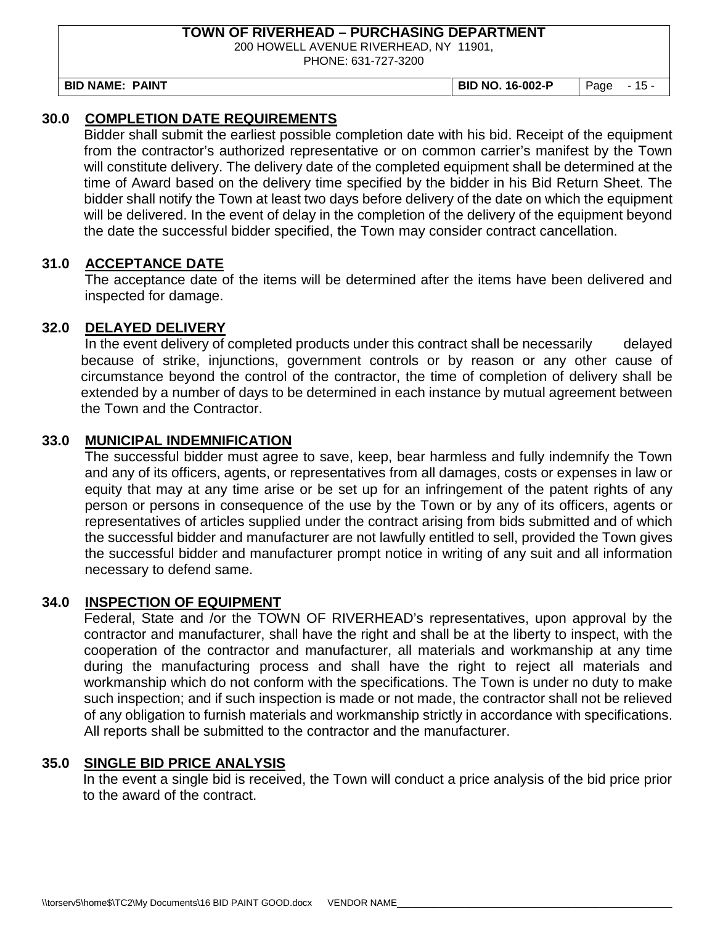200 HOWELL AVENUE RIVERHEAD, NY 11901,

PHONE: 631-727-3200

**BID NAME: PAINT BID NO. 16-002-P** Page - 15 -

## **30.0 COMPLETION DATE REQUIREMENTS**

Bidder shall submit the earliest possible completion date with his bid. Receipt of the equipment from the contractor's authorized representative or on common carrier's manifest by the Town will constitute delivery. The delivery date of the completed equipment shall be determined at the time of Award based on the delivery time specified by the bidder in his Bid Return Sheet. The bidder shall notify the Town at least two days before delivery of the date on which the equipment will be delivered. In the event of delay in the completion of the delivery of the equipment beyond the date the successful bidder specified, the Town may consider contract cancellation.

#### **31.0 ACCEPTANCE DATE**

The acceptance date of the items will be determined after the items have been delivered and inspected for damage.

#### **32.0 DELAYED DELIVERY**

In the event delivery of completed products under this contract shall be necessarily delayed because of strike, injunctions, government controls or by reason or any other cause of circumstance beyond the control of the contractor, the time of completion of delivery shall be extended by a number of days to be determined in each instance by mutual agreement between the Town and the Contractor.

#### **33.0 MUNICIPAL INDEMNIFICATION**

The successful bidder must agree to save, keep, bear harmless and fully indemnify the Town and any of its officers, agents, or representatives from all damages, costs or expenses in law or equity that may at any time arise or be set up for an infringement of the patent rights of any person or persons in consequence of the use by the Town or by any of its officers, agents or representatives of articles supplied under the contract arising from bids submitted and of which the successful bidder and manufacturer are not lawfully entitled to sell, provided the Town gives the successful bidder and manufacturer prompt notice in writing of any suit and all information necessary to defend same.

#### **34.0 INSPECTION OF EQUIPMENT**

Federal, State and /or the TOWN OF RIVERHEAD's representatives, upon approval by the contractor and manufacturer, shall have the right and shall be at the liberty to inspect, with the cooperation of the contractor and manufacturer, all materials and workmanship at any time during the manufacturing process and shall have the right to reject all materials and workmanship which do not conform with the specifications. The Town is under no duty to make such inspection; and if such inspection is made or not made, the contractor shall not be relieved of any obligation to furnish materials and workmanship strictly in accordance with specifications. All reports shall be submitted to the contractor and the manufacturer.

#### **35.0 SINGLE BID PRICE ANALYSIS**

In the event a single bid is received, the Town will conduct a price analysis of the bid price prior to the award of the contract.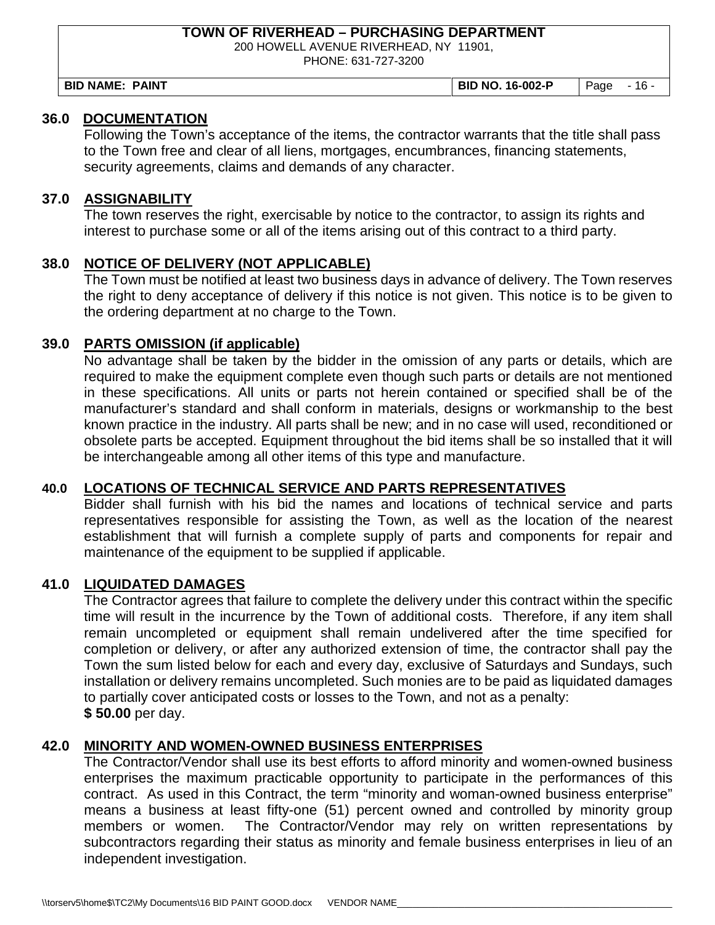200 HOWELL AVENUE RIVERHEAD, NY 11901,

PHONE: 631-727-3200

| <b>BIL</b><br><b>PAINT</b><br><b>NAME</b><br><b>NO</b><br>16-002-F<br>BIL<br>16<br>Page |
|-----------------------------------------------------------------------------------------|
|-----------------------------------------------------------------------------------------|

#### **36.0 DOCUMENTATION**

Following the Town's acceptance of the items, the contractor warrants that the title shall pass to the Town free and clear of all liens, mortgages, encumbrances, financing statements, security agreements, claims and demands of any character.

#### **37.0 ASSIGNABILITY**

The town reserves the right, exercisable by notice to the contractor, to assign its rights and interest to purchase some or all of the items arising out of this contract to a third party.

#### **38.0 NOTICE OF DELIVERY (NOT APPLICABLE)**

The Town must be notified at least two business days in advance of delivery. The Town reserves the right to deny acceptance of delivery if this notice is not given. This notice is to be given to the ordering department at no charge to the Town.

#### **39.0 PARTS OMISSION (if applicable)**

No advantage shall be taken by the bidder in the omission of any parts or details, which are required to make the equipment complete even though such parts or details are not mentioned in these specifications. All units or parts not herein contained or specified shall be of the manufacturer's standard and shall conform in materials, designs or workmanship to the best known practice in the industry. All parts shall be new; and in no case will used, reconditioned or obsolete parts be accepted. Equipment throughout the bid items shall be so installed that it will be interchangeable among all other items of this type and manufacture.

#### **40.0 LOCATIONS OF TECHNICAL SERVICE AND PARTS REPRESENTATIVES**

Bidder shall furnish with his bid the names and locations of technical service and parts representatives responsible for assisting the Town, as well as the location of the nearest establishment that will furnish a complete supply of parts and components for repair and maintenance of the equipment to be supplied if applicable.

#### **41.0 LIQUIDATED DAMAGES**

The Contractor agrees that failure to complete the delivery under this contract within the specific time will result in the incurrence by the Town of additional costs. Therefore, if any item shall remain uncompleted or equipment shall remain undelivered after the time specified for completion or delivery, or after any authorized extension of time, the contractor shall pay the Town the sum listed below for each and every day, exclusive of Saturdays and Sundays, such installation or delivery remains uncompleted. Such monies are to be paid as liquidated damages to partially cover anticipated costs or losses to the Town, and not as a penalty: **\$ 50.00** per day.

#### **42.0 MINORITY AND WOMEN-OWNED BUSINESS ENTERPRISES**

The Contractor/Vendor shall use its best efforts to afford minority and women-owned business enterprises the maximum practicable opportunity to participate in the performances of this contract. As used in this Contract, the term "minority and woman-owned business enterprise" means a business at least fifty-one (51) percent owned and controlled by minority group members or women. The Contractor/Vendor may rely on written representations by subcontractors regarding their status as minority and female business enterprises in lieu of an independent investigation.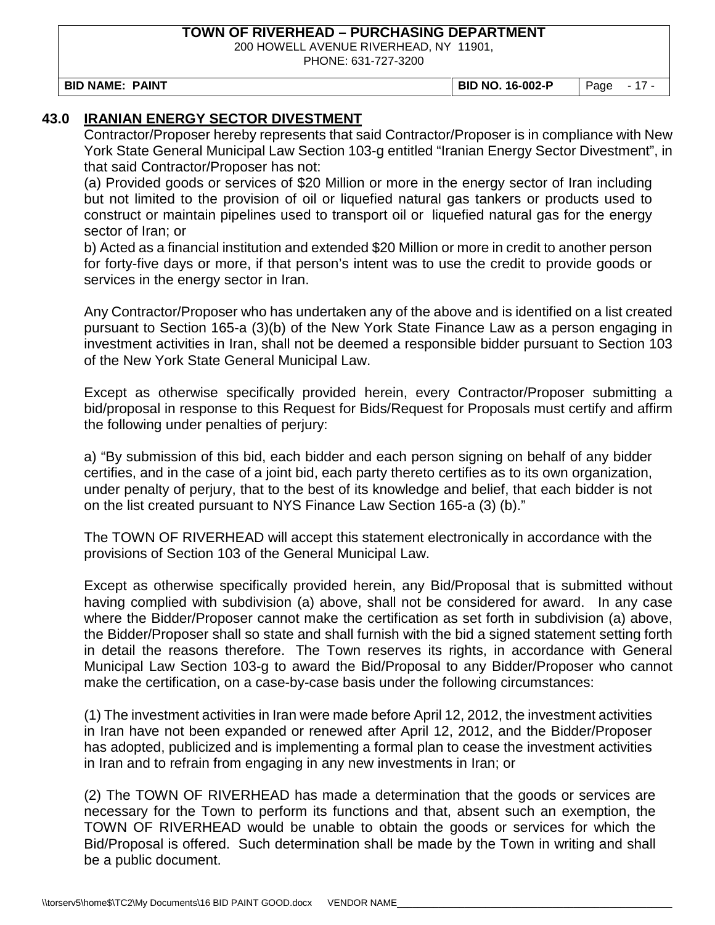200 HOWELL AVENUE RIVERHEAD, NY 11901,

PHONE: 631-727-3200

**BID NAME: PAINT BID NO. 16-002-P** Page - 17 -

### **43.0 IRANIAN ENERGY SECTOR DIVESTMENT**

Contractor/Proposer hereby represents that said Contractor/Proposer is in compliance with New York State General Municipal Law Section 103-g entitled "Iranian Energy Sector Divestment", in that said Contractor/Proposer has not:

(a) Provided goods or services of \$20 Million or more in the energy sector of Iran including but not limited to the provision of oil or liquefied natural gas tankers or products used to construct or maintain pipelines used to transport oil or liquefied natural gas for the energy sector of Iran; or

b) Acted as a financial institution and extended \$20 Million or more in credit to another person for forty-five days or more, if that person's intent was to use the credit to provide goods or services in the energy sector in Iran.

Any Contractor/Proposer who has undertaken any of the above and is identified on a list created pursuant to Section 165-a (3)(b) of the New York State Finance Law as a person engaging in investment activities in Iran, shall not be deemed a responsible bidder pursuant to Section 103 of the New York State General Municipal Law.

Except as otherwise specifically provided herein, every Contractor/Proposer submitting a bid/proposal in response to this Request for Bids/Request for Proposals must certify and affirm the following under penalties of perjury:

a) "By submission of this bid, each bidder and each person signing on behalf of any bidder certifies, and in the case of a joint bid, each party thereto certifies as to its own organization, under penalty of perjury, that to the best of its knowledge and belief, that each bidder is not on the list created pursuant to NYS Finance Law Section 165-a (3) (b)."

The TOWN OF RIVERHEAD will accept this statement electronically in accordance with the provisions of Section 103 of the General Municipal Law.

Except as otherwise specifically provided herein, any Bid/Proposal that is submitted without having complied with subdivision (a) above, shall not be considered for award. In any case where the Bidder/Proposer cannot make the certification as set forth in subdivision (a) above, the Bidder/Proposer shall so state and shall furnish with the bid a signed statement setting forth in detail the reasons therefore. The Town reserves its rights, in accordance with General Municipal Law Section 103-g to award the Bid/Proposal to any Bidder/Proposer who cannot make the certification, on a case-by-case basis under the following circumstances:

(1) The investment activities in Iran were made before April 12, 2012, the investment activities in Iran have not been expanded or renewed after April 12, 2012, and the Bidder/Proposer has adopted, publicized and is implementing a formal plan to cease the investment activities in Iran and to refrain from engaging in any new investments in Iran; or

(2) The TOWN OF RIVERHEAD has made a determination that the goods or services are necessary for the Town to perform its functions and that, absent such an exemption, the TOWN OF RIVERHEAD would be unable to obtain the goods or services for which the Bid/Proposal is offered. Such determination shall be made by the Town in writing and shall be a public document.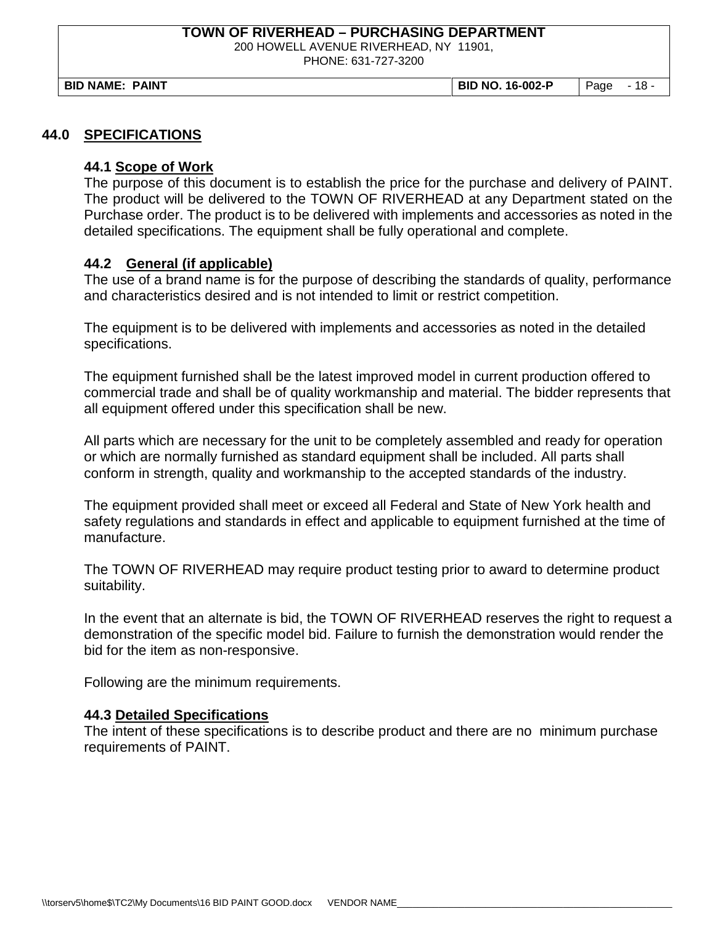200 HOWELL AVENUE RIVERHEAD, NY 11901,

PHONE: 631-727-3200

**BID NAME: PAINT BID NO. 16-002-P** Page - 18 -

#### **44.0 SPECIFICATIONS**

#### **44.1 Scope of Work**

The purpose of this document is to establish the price for the purchase and delivery of PAINT. The product will be delivered to the TOWN OF RIVERHEAD at any Department stated on the Purchase order. The product is to be delivered with implements and accessories as noted in the detailed specifications. The equipment shall be fully operational and complete.

#### **44.2 General (if applicable)**

The use of a brand name is for the purpose of describing the standards of quality, performance and characteristics desired and is not intended to limit or restrict competition.

The equipment is to be delivered with implements and accessories as noted in the detailed specifications.

The equipment furnished shall be the latest improved model in current production offered to commercial trade and shall be of quality workmanship and material. The bidder represents that all equipment offered under this specification shall be new.

All parts which are necessary for the unit to be completely assembled and ready for operation or which are normally furnished as standard equipment shall be included. All parts shall conform in strength, quality and workmanship to the accepted standards of the industry.

The equipment provided shall meet or exceed all Federal and State of New York health and safety regulations and standards in effect and applicable to equipment furnished at the time of manufacture.

The TOWN OF RIVERHEAD may require product testing prior to award to determine product suitability.

In the event that an alternate is bid, the TOWN OF RIVERHEAD reserves the right to request a demonstration of the specific model bid. Failure to furnish the demonstration would render the bid for the item as non-responsive.

Following are the minimum requirements.

#### **44.3 Detailed Specifications**

The intent of these specifications is to describe product and there are no minimum purchase requirements of PAINT.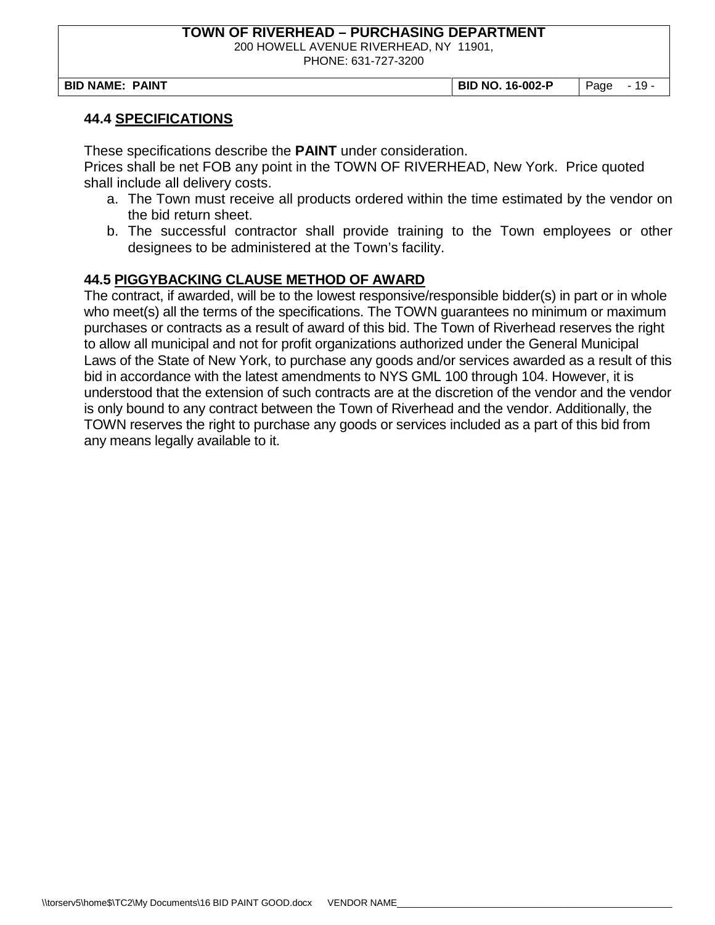200 HOWELL AVENUE RIVERHEAD, NY 11901,

PHONE: 631-727-3200

**BID NAME: PAINT BID NO. 16-002-P** Page - 19 -

#### **44.4 SPECIFICATIONS**

These specifications describe the **PAINT** under consideration.

Prices shall be net FOB any point in the TOWN OF RIVERHEAD, New York. Price quoted shall include all delivery costs.

- a. The Town must receive all products ordered within the time estimated by the vendor on the bid return sheet.
- b. The successful contractor shall provide training to the Town employees or other designees to be administered at the Town's facility.

#### **44.5 PIGGYBACKING CLAUSE METHOD OF AWARD**

The contract, if awarded, will be to the lowest responsive/responsible bidder(s) in part or in whole who meet(s) all the terms of the specifications. The TOWN guarantees no minimum or maximum purchases or contracts as a result of award of this bid. The Town of Riverhead reserves the right to allow all municipal and not for profit organizations authorized under the General Municipal Laws of the State of New York, to purchase any goods and/or services awarded as a result of this bid in accordance with the latest amendments to NYS GML 100 through 104. However, it is understood that the extension of such contracts are at the discretion of the vendor and the vendor is only bound to any contract between the Town of Riverhead and the vendor. Additionally, the TOWN reserves the right to purchase any goods or services included as a part of this bid from any means legally available to it.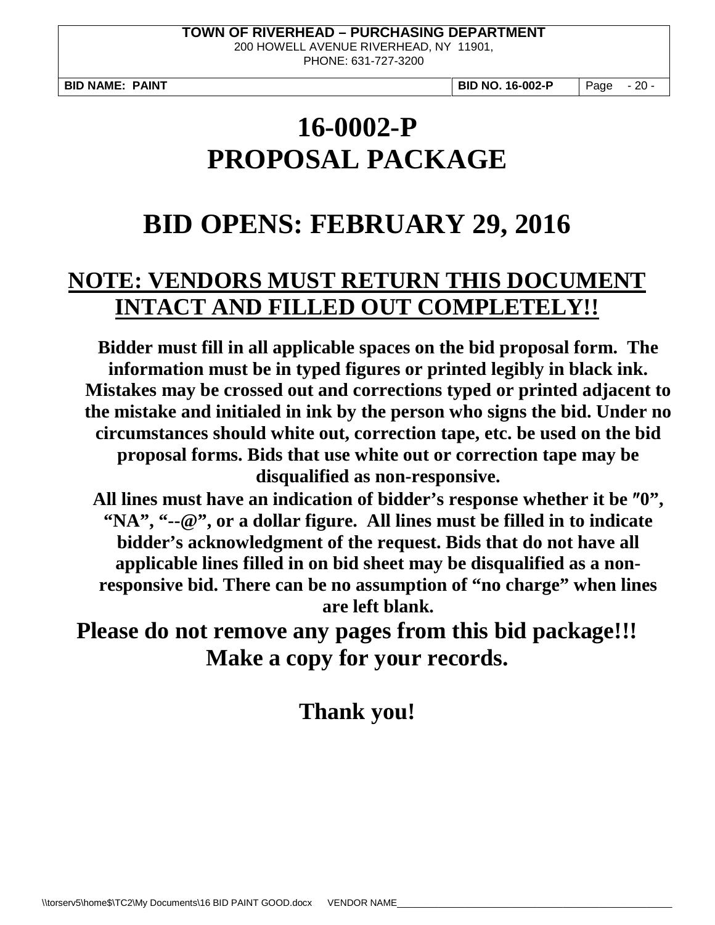200 HOWELL AVENUE RIVERHEAD, NY 11901, PHONE: 631-727-3200

**BID NAME: PAINT BID NO. 16-002-P** Page - 20 -

# **16-0002-P PROPOSAL PACKAGE**

# **BID OPENS: FEBRUARY 29, 2016**

# **NOTE: VENDORS MUST RETURN THIS DOCUMENT INTACT AND FILLED OUT COMPLETELY!!**

**Bidder must fill in all applicable spaces on the bid proposal form. The information must be in typed figures or printed legibly in black ink. Mistakes may be crossed out and corrections typed or printed adjacent to the mistake and initialed in ink by the person who signs the bid. Under no circumstances should white out, correction tape, etc. be used on the bid proposal forms. Bids that use white out or correction tape may be disqualified as non-responsive.**

**All lines must have an indication of bidder's response whether it be** ″**0", "NA", "--@", or a dollar figure. All lines must be filled in to indicate bidder's acknowledgment of the request. Bids that do not have all applicable lines filled in on bid sheet may be disqualified as a nonresponsive bid. There can be no assumption of "no charge" when lines are left blank.**

**Please do not remove any pages from this bid package!!! Make a copy for your records.** 

# **Thank you!**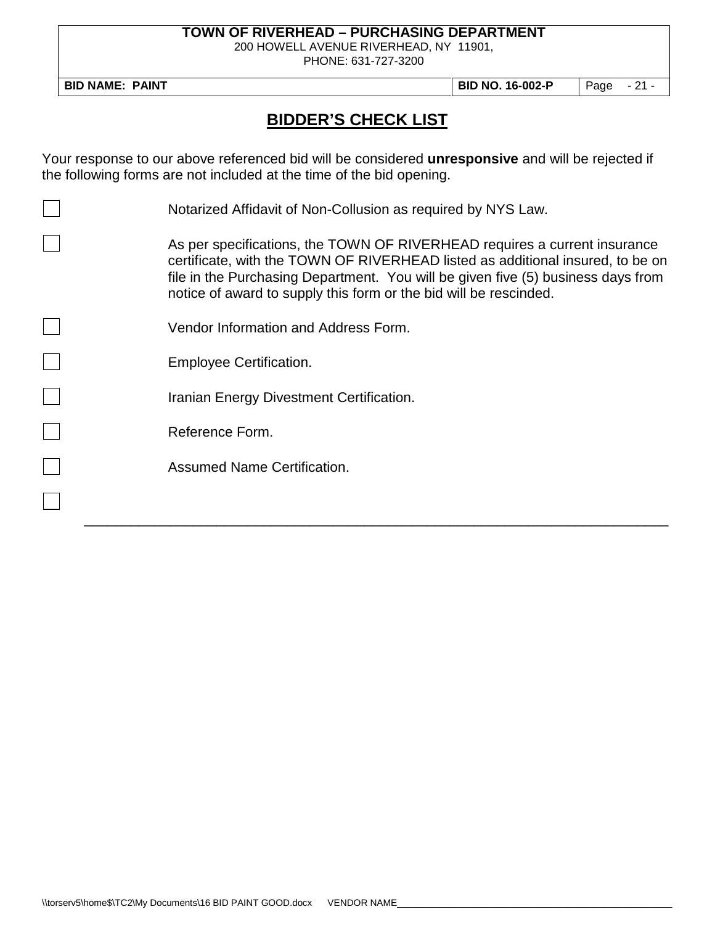200 HOWELL AVENUE RIVERHEAD, NY 11901,

PHONE: 631-727-3200

**BID NAME: PAINT BID NO. 16-002-P** Page - 21 -

# **BIDDER'S CHECK LIST**

Your response to our above referenced bid will be considered **unresponsive** and will be rejected if the following forms are not included at the time of the bid opening.

| Notarized Affidavit of Non-Collusion as required by NYS Law.                                                                                                                                                                                                                                                         |
|----------------------------------------------------------------------------------------------------------------------------------------------------------------------------------------------------------------------------------------------------------------------------------------------------------------------|
| As per specifications, the TOWN OF RIVERHEAD requires a current insurance<br>certificate, with the TOWN OF RIVERHEAD listed as additional insured, to be on<br>file in the Purchasing Department. You will be given five (5) business days from<br>notice of award to supply this form or the bid will be rescinded. |
| Vendor Information and Address Form.                                                                                                                                                                                                                                                                                 |
| Employee Certification.                                                                                                                                                                                                                                                                                              |
| Iranian Energy Divestment Certification.                                                                                                                                                                                                                                                                             |
| Reference Form.                                                                                                                                                                                                                                                                                                      |
| <b>Assumed Name Certification.</b>                                                                                                                                                                                                                                                                                   |
|                                                                                                                                                                                                                                                                                                                      |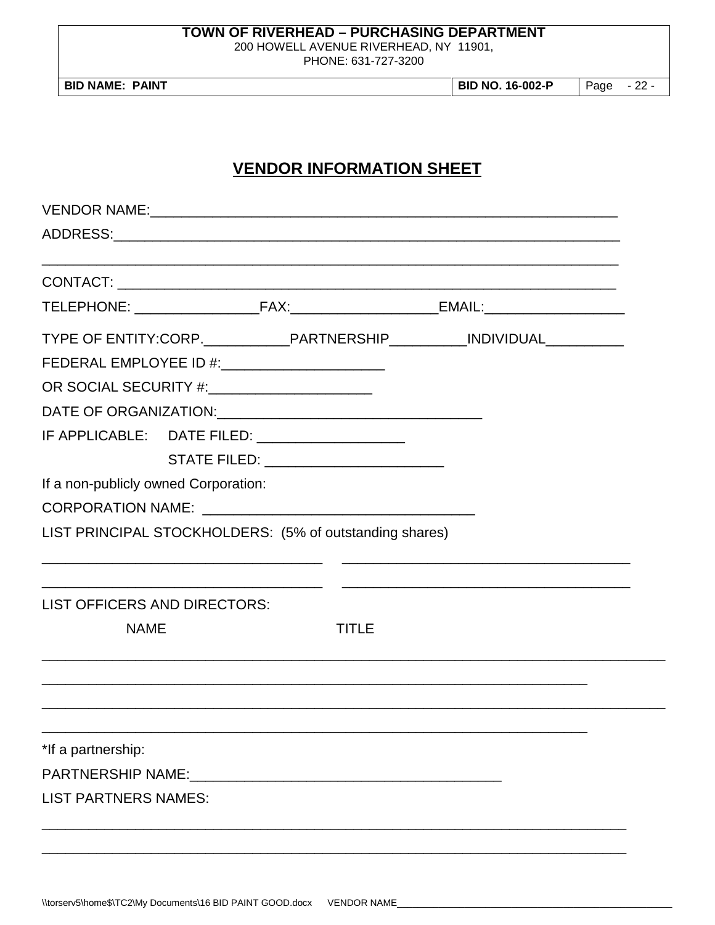200 HOWELL AVENUE RIVERHEAD, NY 11901,

PHONE: 631-727-3200

**BID NAME: PAINT** 

**BID NO. 16-002-P** Page  $-22-$ 

## **VENDOR INFORMATION SHEET**

|                                                |                                     |                                                         | TYPE OF ENTITY:CORP._____________PARTNERSHIP___________INDIVIDUAL______________ |  |
|------------------------------------------------|-------------------------------------|---------------------------------------------------------|---------------------------------------------------------------------------------|--|
|                                                |                                     | FEDERAL EMPLOYEE ID #: _______________________          |                                                                                 |  |
| OR SOCIAL SECURITY #:_________________________ |                                     |                                                         |                                                                                 |  |
|                                                |                                     |                                                         |                                                                                 |  |
|                                                |                                     | IF APPLICABLE: DATE FILED: ____________________         |                                                                                 |  |
|                                                |                                     | STATE FILED: _________________________                  |                                                                                 |  |
| If a non-publicly owned Corporation:           |                                     |                                                         |                                                                                 |  |
|                                                |                                     |                                                         |                                                                                 |  |
|                                                |                                     | LIST PRINCIPAL STOCKHOLDERS: (5% of outstanding shares) |                                                                                 |  |
|                                                | <b>LIST OFFICERS AND DIRECTORS:</b> |                                                         |                                                                                 |  |
| <b>NAME</b>                                    |                                     | TITLE                                                   |                                                                                 |  |
|                                                |                                     |                                                         |                                                                                 |  |
|                                                |                                     |                                                         |                                                                                 |  |
|                                                |                                     |                                                         |                                                                                 |  |
| *If a partnership:                             |                                     |                                                         |                                                                                 |  |
|                                                |                                     |                                                         |                                                                                 |  |
| <b>LIST PARTNERS NAMES:</b>                    |                                     |                                                         |                                                                                 |  |
|                                                |                                     |                                                         |                                                                                 |  |
|                                                |                                     |                                                         |                                                                                 |  |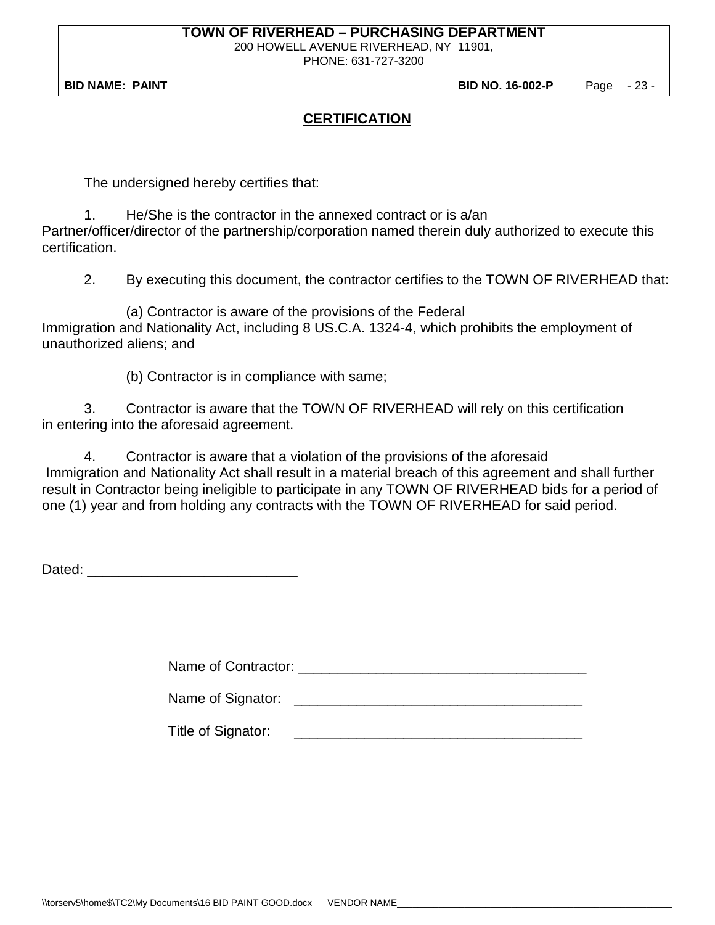200 HOWELL AVENUE RIVERHEAD, NY 11901,

PHONE: 631-727-3200

**BID NAME: PAINT BID NO. 16-002-P** Page - 23 -

### **CERTIFICATION**

The undersigned hereby certifies that:

1. He/She is the contractor in the annexed contract or is a/an Partner/officer/director of the partnership/corporation named therein duly authorized to execute this certification.

2. By executing this document, the contractor certifies to the TOWN OF RIVERHEAD that:

(a) Contractor is aware of the provisions of the Federal Immigration and Nationality Act, including 8 US.C.A. 1324-4, which prohibits the employment of unauthorized aliens; and

(b) Contractor is in compliance with same;

3. Contractor is aware that the TOWN OF RIVERHEAD will rely on this certification in entering into the aforesaid agreement.

4. Contractor is aware that a violation of the provisions of the aforesaid Immigration and Nationality Act shall result in a material breach of this agreement and shall further result in Contractor being ineligible to participate in any TOWN OF RIVERHEAD bids for a period of one (1) year and from holding any contracts with the TOWN OF RIVERHEAD for said period.

Dated: \_\_\_\_\_\_\_\_\_\_\_\_\_\_\_\_\_\_\_\_\_\_\_\_\_\_\_

Name of Contractor: \_\_\_\_\_\_\_\_\_\_\_\_\_\_\_\_\_\_\_\_\_\_\_\_\_\_\_\_\_\_\_\_\_\_\_\_\_

Name of Signator:  $\blacksquare$ 

Title of Signator: \_\_\_\_\_\_\_\_\_\_\_\_\_\_\_\_\_\_\_\_\_\_\_\_\_\_\_\_\_\_\_\_\_\_\_\_\_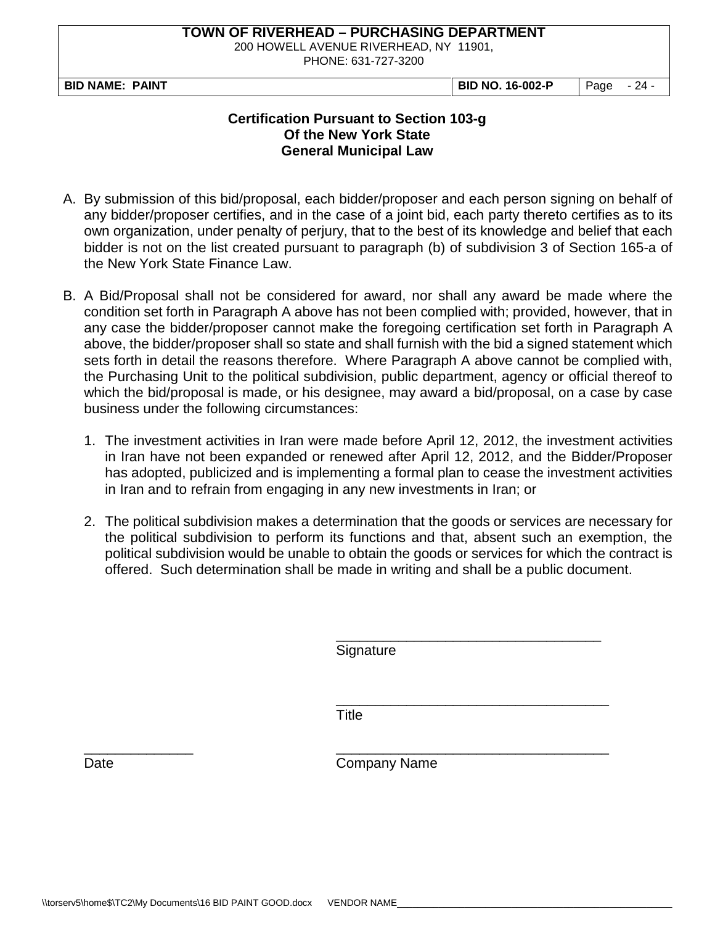200 HOWELL AVENUE RIVERHEAD, NY 11901,

PHONE: 631-727-3200

**BID NAME: PAINT BID NO. 16-002-P** Page - 24 -

#### **Certification Pursuant to Section 103-g Of the New York State General Municipal Law**

- A. By submission of this bid/proposal, each bidder/proposer and each person signing on behalf of any bidder/proposer certifies, and in the case of a joint bid, each party thereto certifies as to its own organization, under penalty of perjury, that to the best of its knowledge and belief that each bidder is not on the list created pursuant to paragraph (b) of subdivision 3 of Section 165-a of the New York State Finance Law.
- B. A Bid/Proposal shall not be considered for award, nor shall any award be made where the condition set forth in Paragraph A above has not been complied with; provided, however, that in any case the bidder/proposer cannot make the foregoing certification set forth in Paragraph A above, the bidder/proposer shall so state and shall furnish with the bid a signed statement which sets forth in detail the reasons therefore. Where Paragraph A above cannot be complied with, the Purchasing Unit to the political subdivision, public department, agency or official thereof to which the bid/proposal is made, or his designee, may award a bid/proposal, on a case by case business under the following circumstances:
	- 1. The investment activities in Iran were made before April 12, 2012, the investment activities in Iran have not been expanded or renewed after April 12, 2012, and the Bidder/Proposer has adopted, publicized and is implementing a formal plan to cease the investment activities in Iran and to refrain from engaging in any new investments in Iran; or
	- 2. The political subdivision makes a determination that the goods or services are necessary for the political subdivision to perform its functions and that, absent such an exemption, the political subdivision would be unable to obtain the goods or services for which the contract is offered. Such determination shall be made in writing and shall be a public document.

\_\_\_\_\_\_\_\_\_\_\_\_\_\_\_\_\_\_\_\_\_\_\_\_\_\_\_\_\_\_\_\_\_\_ **Signature** 

\_\_\_\_\_\_\_\_\_\_\_\_\_\_\_\_\_\_\_\_\_\_\_\_\_\_\_\_\_\_\_\_\_\_\_ Title

\_\_\_\_\_\_\_\_\_\_\_\_\_\_ \_\_\_\_\_\_\_\_\_\_\_\_\_\_\_\_\_\_\_\_\_\_\_\_\_\_\_\_\_\_\_\_\_\_\_ Date **Company Name**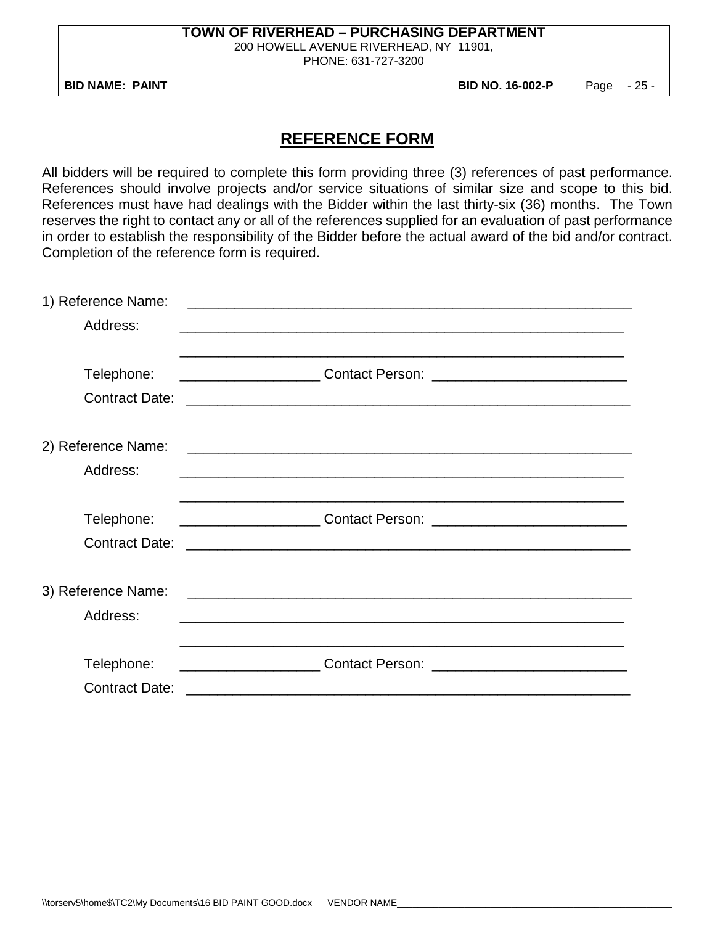200 HOWELL AVENUE RIVERHEAD, NY 11901,

PHONE: 631-727-3200

**BID NAME: PAINT BID NO. 16-002-P** Page - 25 -

## **REFERENCE FORM**

All bidders will be required to complete this form providing three (3) references of past performance. References should involve projects and/or service situations of similar size and scope to this bid. References must have had dealings with the Bidder within the last thirty-six (36) months. The Town reserves the right to contact any or all of the references supplied for an evaluation of past performance in order to establish the responsibility of the Bidder before the actual award of the bid and/or contract. Completion of the reference form is required.

| 1) Reference Name:    | <u> 1989 - Johann Stoff, Amerikaansk politiker († 1908)</u>                                                            |
|-----------------------|------------------------------------------------------------------------------------------------------------------------|
| Address:              |                                                                                                                        |
|                       |                                                                                                                        |
| Telephone:            |                                                                                                                        |
| <b>Contract Date:</b> | <u> 1990 - Johann John Stone, markin amerikan basar dan berkembang di banyak di banyak di banyak di banyak di bany</u> |
|                       |                                                                                                                        |
| 2) Reference Name:    | <u> 1989 - Johann Stoff, amerikansk politiker (d. 1989)</u>                                                            |
| Address:              |                                                                                                                        |
|                       |                                                                                                                        |
| Telephone:            |                                                                                                                        |
| <b>Contract Date:</b> | <u> 1990 - Johann John Stone, markin amerikan basar dan berasal dalam berasal dalam basa dalam basa dalam berasal</u>  |
|                       |                                                                                                                        |
| 3) Reference Name:    | <u> 2008 - Jan Barnett, fransk politik (d. 1888)</u>                                                                   |
| Address:              |                                                                                                                        |
|                       |                                                                                                                        |
| Telephone:            |                                                                                                                        |
| <b>Contract Date:</b> |                                                                                                                        |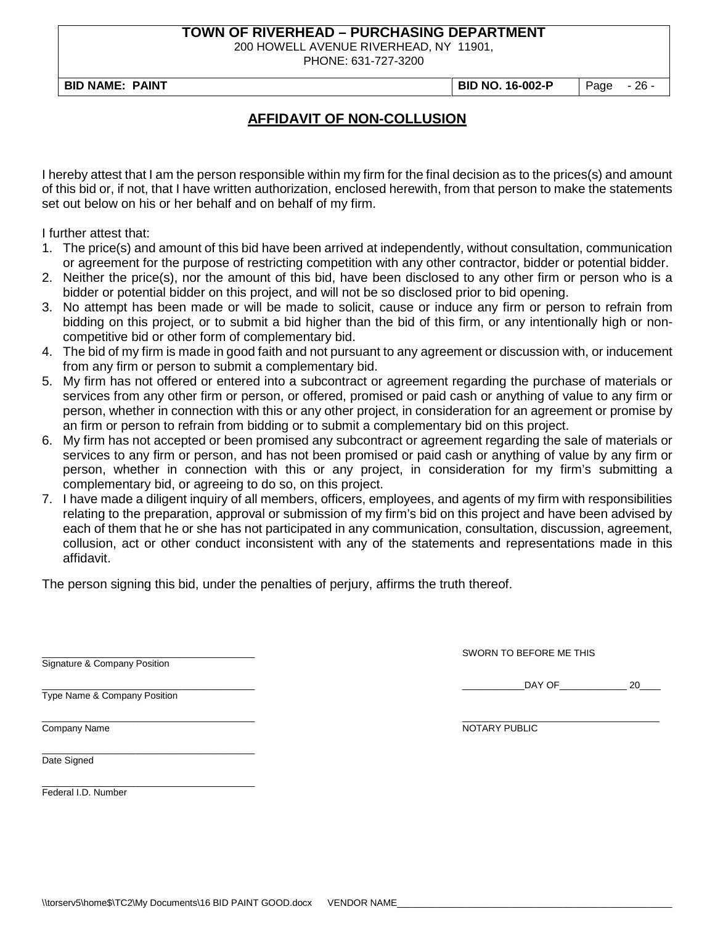200 HOWELL AVENUE RIVERHEAD, NY 11901,

PHONE: 631-727-3200

**BID NAME: PAINT BID NO. 16-002-P** Page - 26 -

## **AFFIDAVIT OF NON-COLLUSION**

I hereby attest that I am the person responsible within my firm for the final decision as to the prices(s) and amount of this bid or, if not, that I have written authorization, enclosed herewith, from that person to make the statements set out below on his or her behalf and on behalf of my firm.

I further attest that:

- 1. The price(s) and amount of this bid have been arrived at independently, without consultation, communication or agreement for the purpose of restricting competition with any other contractor, bidder or potential bidder.
- 2. Neither the price(s), nor the amount of this bid, have been disclosed to any other firm or person who is a bidder or potential bidder on this project, and will not be so disclosed prior to bid opening.
- 3. No attempt has been made or will be made to solicit, cause or induce any firm or person to refrain from bidding on this project, or to submit a bid higher than the bid of this firm, or any intentionally high or noncompetitive bid or other form of complementary bid.
- 4. The bid of my firm is made in good faith and not pursuant to any agreement or discussion with, or inducement from any firm or person to submit a complementary bid.
- 5. My firm has not offered or entered into a subcontract or agreement regarding the purchase of materials or services from any other firm or person, or offered, promised or paid cash or anything of value to any firm or person, whether in connection with this or any other project, in consideration for an agreement or promise by an firm or person to refrain from bidding or to submit a complementary bid on this project.
- 6. My firm has not accepted or been promised any subcontract or agreement regarding the sale of materials or services to any firm or person, and has not been promised or paid cash or anything of value by any firm or person, whether in connection with this or any project, in consideration for my firm's submitting a complementary bid, or agreeing to do so, on this project.
- 7. I have made a diligent inquiry of all members, officers, employees, and agents of my firm with responsibilities relating to the preparation, approval or submission of my firm's bid on this project and have been advised by each of them that he or she has not participated in any communication, consultation, discussion, agreement, collusion, act or other conduct inconsistent with any of the statements and representations made in this affidavit.

The person signing this bid, under the penalties of perjury, affirms the truth thereof.

Signature & Company Position

Type Name & Company Position

\_\_\_\_\_\_\_\_\_\_\_\_\_\_\_\_\_\_\_\_\_\_\_\_\_\_\_\_\_\_\_\_\_\_\_\_\_\_\_\_\_

\_\_\_\_\_\_\_\_\_\_\_\_\_\_\_\_\_\_\_\_\_\_\_\_\_\_\_\_\_\_\_\_\_\_\_\_\_\_\_\_\_ SWORN TO BEFORE ME THIS

\_\_\_\_\_\_\_\_\_\_\_\_\_\_\_\_\_\_\_\_\_\_\_\_\_\_\_\_\_\_\_\_\_\_\_\_\_\_\_\_\_ \_\_\_\_\_\_\_\_\_\_\_\_DAY OF\_\_\_\_\_\_\_\_\_\_\_\_\_ 20\_\_\_\_

\_\_\_\_\_\_\_\_\_\_\_\_\_\_\_\_\_\_\_\_\_\_\_\_\_\_\_\_\_\_\_\_\_\_\_\_\_\_\_\_\_ \_\_\_\_\_\_\_\_\_\_\_\_\_\_\_\_\_\_\_\_\_\_\_\_\_\_\_\_\_\_\_\_\_\_\_\_\_\_ Company Name Notice and the Company Name Notice and the Company Name Notice and the Notice and the Notice and the Notice and the Notice and the Notice and the Notice and the Notice and the Notice and the Notice and the Not

\_\_\_\_\_\_\_\_\_\_\_\_\_\_\_\_\_\_\_\_\_\_\_\_\_\_\_\_\_\_\_\_\_\_\_\_\_\_\_\_\_

Date Signed

Federal I.D. Number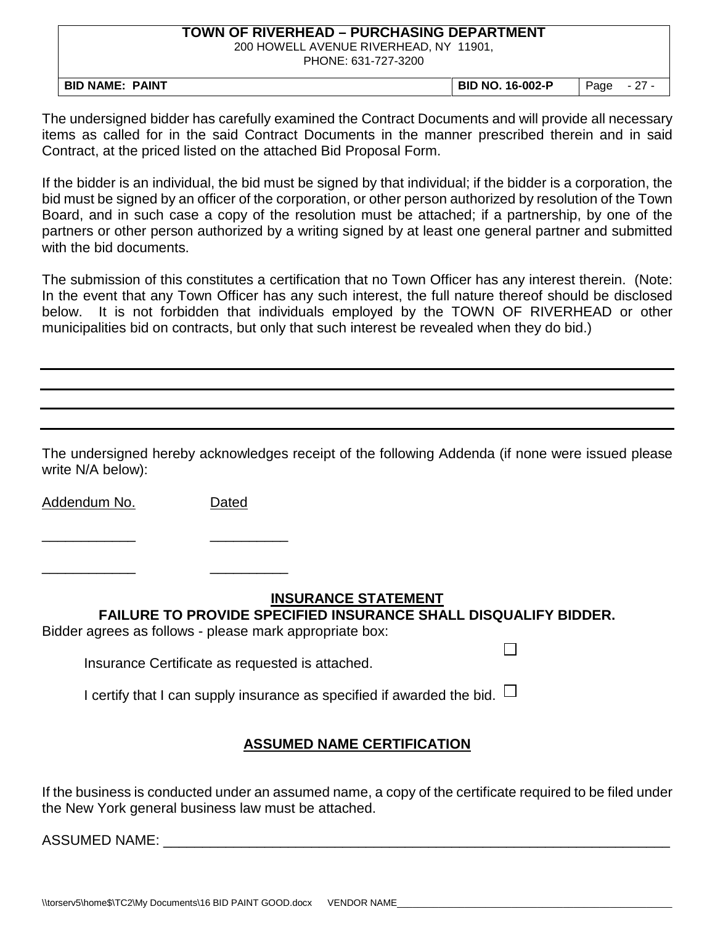200 HOWELL AVENUE RIVERHEAD, NY 11901,

PHONE: 631-727-3200

| <b>NAME</b><br><b>PAINT</b><br>BID | <b>BID NO. 16-002-P</b> | Page | <u>.</u> |
|------------------------------------|-------------------------|------|----------|

The undersigned bidder has carefully examined the Contract Documents and will provide all necessary items as called for in the said Contract Documents in the manner prescribed therein and in said Contract, at the priced listed on the attached Bid Proposal Form.

If the bidder is an individual, the bid must be signed by that individual; if the bidder is a corporation, the bid must be signed by an officer of the corporation, or other person authorized by resolution of the Town Board, and in such case a copy of the resolution must be attached; if a partnership, by one of the partners or other person authorized by a writing signed by at least one general partner and submitted with the bid documents.

The submission of this constitutes a certification that no Town Officer has any interest therein. (Note: In the event that any Town Officer has any such interest, the full nature thereof should be disclosed below. It is not forbidden that individuals employed by the TOWN OF RIVERHEAD or other municipalities bid on contracts, but only that such interest be revealed when they do bid.)

The undersigned hereby acknowledges receipt of the following Addenda (if none were issued please write N/A below):

Addendum No. Dated

\_\_\_\_\_\_\_\_\_\_\_\_ \_\_\_\_\_\_\_\_\_\_

\_\_\_\_\_\_\_\_\_\_\_\_ \_\_\_\_\_\_\_\_\_\_

#### **INSURANCE STATEMENT**

П

**FAILURE TO PROVIDE SPECIFIED INSURANCE SHALL DISQUALIFY BIDDER.**

Bidder agrees as follows - please mark appropriate box:

Insurance Certificate as requested is attached.

I certify that I can supply insurance as specified if awarded the bid.  $\Box$ 

## **ASSUMED NAME CERTIFICATION**

If the business is conducted under an assumed name, a copy of the certificate required to be filed under the New York general business law must be attached.

ASSUMED NAME:  $\overline{a}$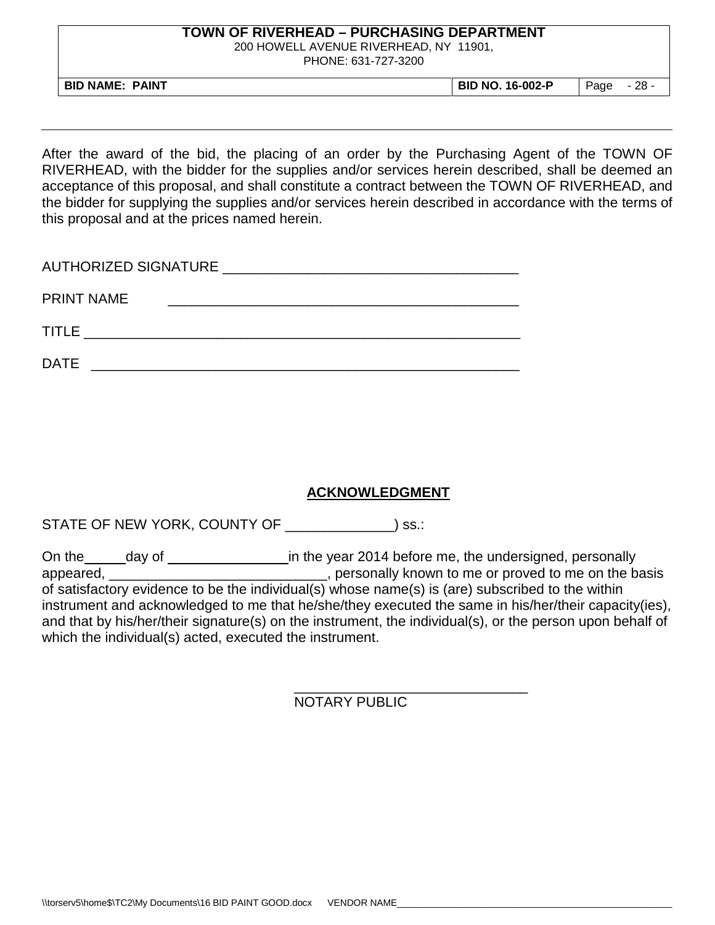200 HOWELL AVENUE RIVERHEAD, NY 11901,

PHONE: 631-727-3200

**BID NAME: PAINT BID NO. 16-002-P** Page - 28 -

After the award of the bid, the placing of an order by the Purchasing Agent of the TOWN OF RIVERHEAD, with the bidder for the supplies and/or services herein described, shall be deemed an acceptance of this proposal, and shall constitute a contract between the TOWN OF RIVERHEAD, and the bidder for supplying the supplies and/or services herein described in accordance with the terms of this proposal and at the prices named herein.

| AUTHORIZED SIGNATURE NEWSLEY AND THE RESERVE AND THE RESERVE AND THE RESERVE AND THE RESERVE AND THE RESERVE A |
|----------------------------------------------------------------------------------------------------------------|
| <b>PRINT NAME</b>                                                                                              |
| <b>TITLE</b>                                                                                                   |
| <b>DATE</b>                                                                                                    |

## **ACKNOWLEDGMENT**

STATE OF NEW YORK, COUNTY OF \_\_\_\_\_\_\_\_\_\_\_\_\_\_) ss.:

On the day of in the year 2014 before me, the undersigned, personally appeared, \_\_\_\_\_\_\_\_\_\_\_\_\_\_\_\_\_\_\_\_\_\_\_\_\_\_\_\_\_, personally known to me or proved to me on the basis of satisfactory evidence to be the individual(s) whose name(s) is (are) subscribed to the within instrument and acknowledged to me that he/she/they executed the same in his/her/their capacity(ies), and that by his/her/their signature(s) on the instrument, the individual(s), or the person upon behalf of which the individual(s) acted, executed the instrument.

> \_\_\_\_\_\_\_\_\_\_\_\_\_\_\_\_\_\_\_\_\_\_\_\_\_\_\_\_\_\_ NOTARY PUBLIC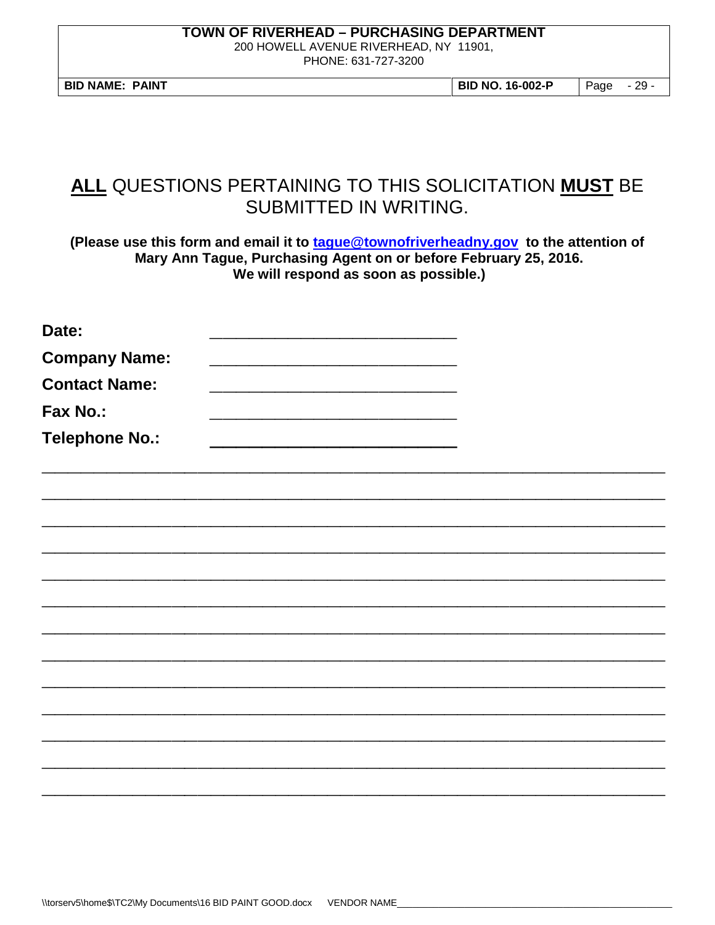200 HOWELL AVENUE RIVERHEAD, NY 11901,

PHONE: 631-727-3200

**BID NAME: PAINT BID NO. 16-002-P** Page - 29 -

# **ALL** QUESTIONS PERTAINING TO THIS SOLICITATION **MUST** BE SUBMITTED IN WRITING.

**(Please use this form and email it to [tague@townofriverheadny.gov](mailto:tague@townofriverheadny.gov) to the attention of Mary Ann Tague, Purchasing Agent on or before February 25, 2016. We will respond as soon as possible.)**

| Date:                 |  |  |  |
|-----------------------|--|--|--|
| <b>Company Name:</b>  |  |  |  |
| <b>Contact Name:</b>  |  |  |  |
| Fax No.:              |  |  |  |
| <b>Telephone No.:</b> |  |  |  |
|                       |  |  |  |
|                       |  |  |  |
|                       |  |  |  |
|                       |  |  |  |
|                       |  |  |  |
|                       |  |  |  |
|                       |  |  |  |
|                       |  |  |  |
|                       |  |  |  |
|                       |  |  |  |
|                       |  |  |  |
|                       |  |  |  |
|                       |  |  |  |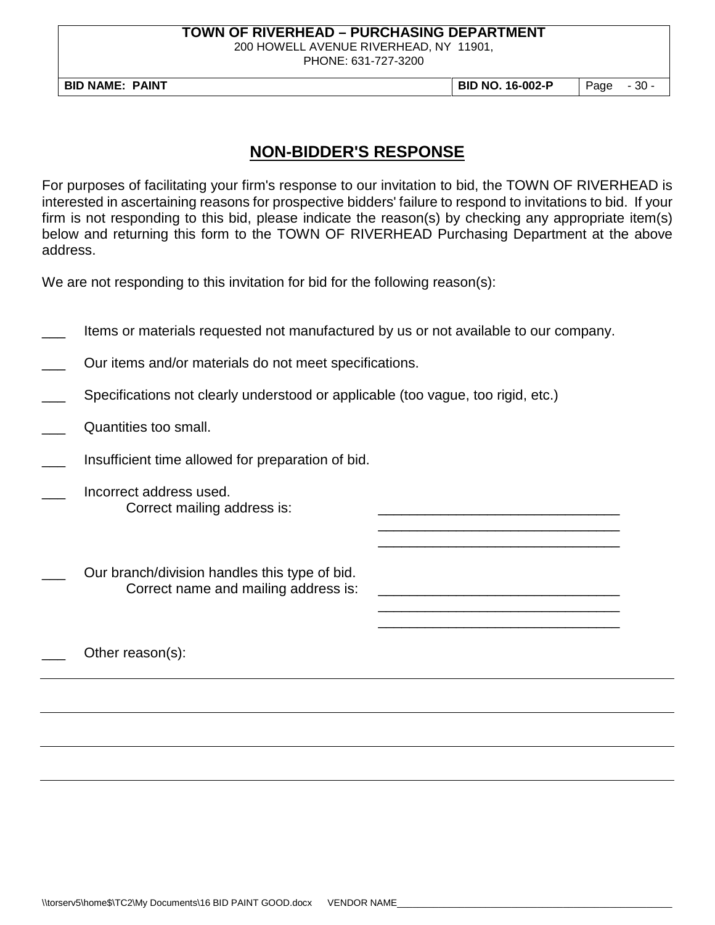200 HOWELL AVENUE RIVERHEAD, NY 11901,

PHONE: 631-727-3200

**BID NAME: PAINT BID NO. 16-002-P** Page - 30 -

\_\_\_\_\_\_\_\_\_\_\_\_\_\_\_\_\_\_\_\_\_\_\_\_\_\_\_\_\_\_\_ \_\_\_\_\_\_\_\_\_\_\_\_\_\_\_\_\_\_\_\_\_\_\_\_\_\_\_\_\_\_\_

\_\_\_\_\_\_\_\_\_\_\_\_\_\_\_\_\_\_\_\_\_\_\_\_\_\_\_\_\_\_\_ \_\_\_\_\_\_\_\_\_\_\_\_\_\_\_\_\_\_\_\_\_\_\_\_\_\_\_\_\_\_\_

## **NON-BIDDER'S RESPONSE**

For purposes of facilitating your firm's response to our invitation to bid, the TOWN OF RIVERHEAD is interested in ascertaining reasons for prospective bidders' failure to respond to invitations to bid. If your firm is not responding to this bid, please indicate the reason(s) by checking any appropriate item(s) below and returning this form to the TOWN OF RIVERHEAD Purchasing Department at the above address.

We are not responding to this invitation for bid for the following reason(s):

Items or materials requested not manufactured by us or not available to our company.

Our items and/or materials do not meet specifications.

- Specifications not clearly understood or applicable (too vague, too rigid, etc.)
- Quantities too small.
- Insufficient time allowed for preparation of bid.
- Incorrect address used. Correct mailing address is:

Our branch/division handles this type of bid. Correct name and mailing address is:

Other reason(s):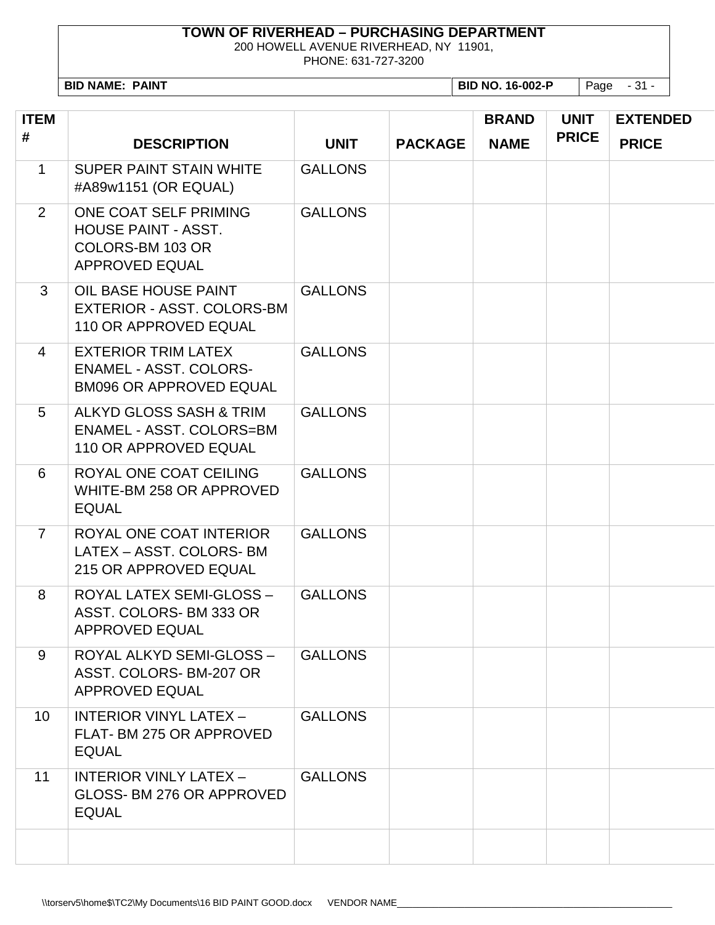200 HOWELL AVENUE RIVERHEAD, NY 11901,

PHONE: 631-727-3200

**BID NAME: PAINT BID NO. 16-002-P** Page - 31 -

| <b>ITEM</b><br># | <b>DESCRIPTION</b>                                                                               | <b>UNIT</b>    | <b>PACKAGE</b> | <b>BRAND</b><br><b>NAME</b> | <b>UNIT</b><br><b>PRICE</b> | <b>EXTENDED</b><br><b>PRICE</b> |
|------------------|--------------------------------------------------------------------------------------------------|----------------|----------------|-----------------------------|-----------------------------|---------------------------------|
| $\mathbf{1}$     | <b>SUPER PAINT STAIN WHITE</b><br>#A89w1151 (OR EQUAL)                                           | <b>GALLONS</b> |                |                             |                             |                                 |
| 2                | ONE COAT SELF PRIMING<br><b>HOUSE PAINT - ASST.</b><br>COLORS-BM 103 OR<br><b>APPROVED EQUAL</b> | <b>GALLONS</b> |                |                             |                             |                                 |
| 3                | OIL BASE HOUSE PAINT<br>EXTERIOR - ASST. COLORS-BM<br>110 OR APPROVED EQUAL                      | <b>GALLONS</b> |                |                             |                             |                                 |
| $\overline{4}$   | <b>EXTERIOR TRIM LATEX</b><br><b>ENAMEL - ASST. COLORS-</b><br><b>BM096 OR APPROVED EQUAL</b>    | <b>GALLONS</b> |                |                             |                             |                                 |
| 5                | ALKYD GLOSS SASH & TRIM<br><b>ENAMEL - ASST. COLORS=BM</b><br>110 OR APPROVED EQUAL              | <b>GALLONS</b> |                |                             |                             |                                 |
| 6                | ROYAL ONE COAT CEILING<br>WHITE-BM 258 OR APPROVED<br><b>EQUAL</b>                               | <b>GALLONS</b> |                |                             |                             |                                 |
| $\overline{7}$   | ROYAL ONE COAT INTERIOR<br>LATEX - ASST. COLORS- BM<br>215 OR APPROVED EQUAL                     | <b>GALLONS</b> |                |                             |                             |                                 |
| 8                | ROYAL LATEX SEMI-GLOSS -<br>ASST. COLORS-BM 333 OR<br>APPROVED EQUAL                             | <b>GALLONS</b> |                |                             |                             |                                 |
| 9                | ROYAL ALKYD SEMI-GLOSS -<br>ASST. COLORS-BM-207 OR<br><b>APPROVED EQUAL</b>                      | <b>GALLONS</b> |                |                             |                             |                                 |
| 10               | <b>INTERIOR VINYL LATEX -</b><br>FLAT- BM 275 OR APPROVED<br><b>EQUAL</b>                        | <b>GALLONS</b> |                |                             |                             |                                 |
| 11               | <b>INTERIOR VINLY LATEX -</b><br>GLOSS- BM 276 OR APPROVED<br><b>EQUAL</b>                       | <b>GALLONS</b> |                |                             |                             |                                 |
|                  |                                                                                                  |                |                |                             |                             |                                 |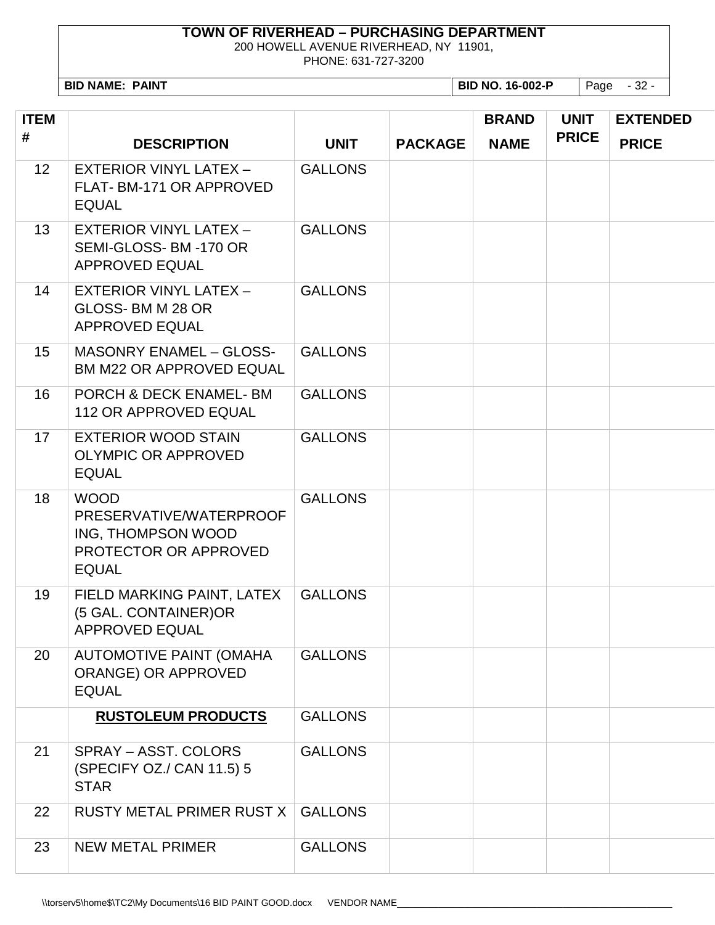200 HOWELL AVENUE RIVERHEAD, NY 11901,

PHONE: 631-727-3200

**BID NAME: PAINT BID NO. 16-002-P** Page - 32 -

| <b>ITEM</b>     |                                                                                                       |                |                | <b>BRAND</b> | <b>UNIT</b>  | <b>EXTENDED</b> |
|-----------------|-------------------------------------------------------------------------------------------------------|----------------|----------------|--------------|--------------|-----------------|
| #               | <b>DESCRIPTION</b>                                                                                    | <b>UNIT</b>    | <b>PACKAGE</b> | <b>NAME</b>  | <b>PRICE</b> | <b>PRICE</b>    |
| 12 <sup>2</sup> | <b>EXTERIOR VINYL LATEX -</b><br>FLAT-BM-171 OR APPROVED<br><b>EQUAL</b>                              | <b>GALLONS</b> |                |              |              |                 |
| 13              | <b>EXTERIOR VINYL LATEX -</b><br>SEMI-GLOSS- BM-170 OR<br><b>APPROVED EQUAL</b>                       | <b>GALLONS</b> |                |              |              |                 |
| 14              | <b>EXTERIOR VINYL LATEX -</b><br>GLOSS-BMM 28 OR<br><b>APPROVED EQUAL</b>                             | <b>GALLONS</b> |                |              |              |                 |
| 15              | <b>MASONRY ENAMEL - GLOSS-</b><br><b>BM M22 OR APPROVED EQUAL</b>                                     | <b>GALLONS</b> |                |              |              |                 |
| 16              | PORCH & DECK ENAMEL- BM<br><b>112 OR APPROVED EQUAL</b>                                               | <b>GALLONS</b> |                |              |              |                 |
| 17              | <b>EXTERIOR WOOD STAIN</b><br><b>OLYMPIC OR APPROVED</b><br><b>EQUAL</b>                              | <b>GALLONS</b> |                |              |              |                 |
| 18              | <b>WOOD</b><br>PRESERVATIVE/WATERPROOF<br>ING, THOMPSON WOOD<br>PROTECTOR OR APPROVED<br><b>EQUAL</b> | <b>GALLONS</b> |                |              |              |                 |
| 19              | FIELD MARKING PAINT, LATEX<br>(5 GAL. CONTAINER)OR<br><b>APPROVED EQUAL</b>                           | <b>GALLONS</b> |                |              |              |                 |
| 20              | <b>AUTOMOTIVE PAINT (OMAHA</b><br>ORANGE) OR APPROVED<br><b>EQUAL</b>                                 | <b>GALLONS</b> |                |              |              |                 |
|                 | <b>RUSTOLEUM PRODUCTS</b>                                                                             | <b>GALLONS</b> |                |              |              |                 |
| 21              | SPRAY - ASST. COLORS<br>(SPECIFY OZ./ CAN 11.5) 5<br><b>STAR</b>                                      | <b>GALLONS</b> |                |              |              |                 |
| 22              | RUSTY METAL PRIMER RUST X                                                                             | <b>GALLONS</b> |                |              |              |                 |
| 23              | NEW METAL PRIMER                                                                                      | <b>GALLONS</b> |                |              |              |                 |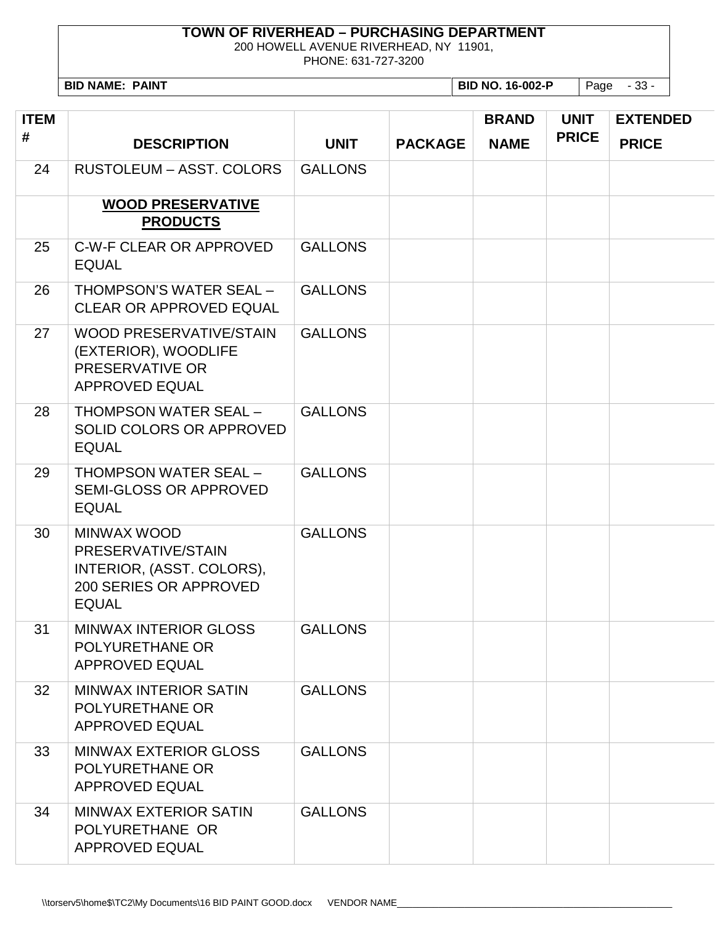200 HOWELL AVENUE RIVERHEAD, NY 11901,

PHONE: 631-727-3200

**BID NAME: PAINT BID NO. 16-002-P** Page - 33 -

| <b>ITEM</b><br># | <b>DESCRIPTION</b>                                                                                       | <b>UNIT</b>    | <b>PACKAGE</b> | <b>BRAND</b><br><b>NAME</b> | <b>UNIT</b><br><b>PRICE</b> | <b>EXTENDED</b><br><b>PRICE</b> |
|------------------|----------------------------------------------------------------------------------------------------------|----------------|----------------|-----------------------------|-----------------------------|---------------------------------|
| 24               | <b>RUSTOLEUM - ASST. COLORS</b>                                                                          | <b>GALLONS</b> |                |                             |                             |                                 |
|                  | <b>WOOD PRESERVATIVE</b><br><b>PRODUCTS</b>                                                              |                |                |                             |                             |                                 |
| 25               | C-W-F CLEAR OR APPROVED<br><b>EQUAL</b>                                                                  | <b>GALLONS</b> |                |                             |                             |                                 |
| 26               | THOMPSON'S WATER SEAL -<br><b>CLEAR OR APPROVED EQUAL</b>                                                | <b>GALLONS</b> |                |                             |                             |                                 |
| 27               | <b>WOOD PRESERVATIVE/STAIN</b><br>(EXTERIOR), WOODLIFE<br>PRESERVATIVE OR<br><b>APPROVED EQUAL</b>       | <b>GALLONS</b> |                |                             |                             |                                 |
| 28               | <b>THOMPSON WATER SEAL -</b><br>SOLID COLORS OR APPROVED<br><b>EQUAL</b>                                 | <b>GALLONS</b> |                |                             |                             |                                 |
| 29               | <b>THOMPSON WATER SEAL -</b><br><b>SEMI-GLOSS OR APPROVED</b><br><b>EQUAL</b>                            | <b>GALLONS</b> |                |                             |                             |                                 |
| 30               | MINWAX WOOD<br>PRESERVATIVE/STAIN<br>INTERIOR, (ASST. COLORS),<br>200 SERIES OR APPROVED<br><b>EQUAL</b> | <b>GALLONS</b> |                |                             |                             |                                 |
| 31               | <b>MINWAX INTERIOR GLOSS</b><br>POLYURETHANE OR<br><b>APPROVED EQUAL</b>                                 | <b>GALLONS</b> |                |                             |                             |                                 |
| 32               | MINWAX INTERIOR SATIN<br><b>POLYURETHANE OR</b><br>APPROVED EQUAL                                        | <b>GALLONS</b> |                |                             |                             |                                 |
| 33               | <b>MINWAX EXTERIOR GLOSS</b><br>POLYURETHANE OR<br>APPROVED EQUAL                                        | <b>GALLONS</b> |                |                             |                             |                                 |
| 34               | MINWAX EXTERIOR SATIN<br>POLYURETHANE OR<br><b>APPROVED EQUAL</b>                                        | <b>GALLONS</b> |                |                             |                             |                                 |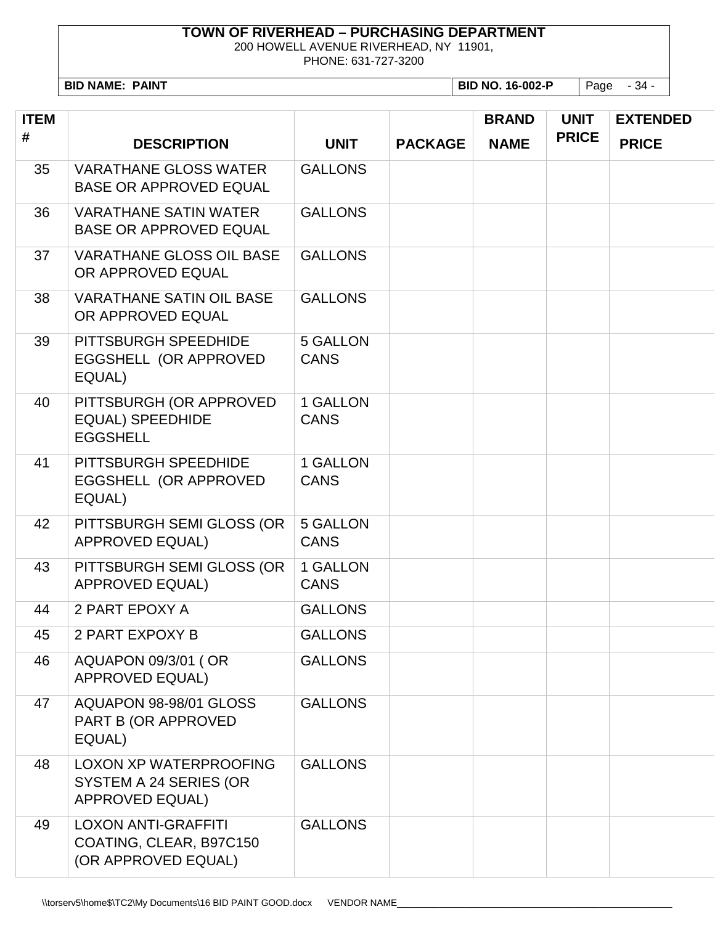200 HOWELL AVENUE RIVERHEAD, NY 11901,

PHONE: 631-727-3200

**BID NAME: PAINT BID NO. 16-002-P** Page - 34 -

| <b>ITEM</b> |                                                                                   |                         |                | <b>BRAND</b> | <b>UNIT</b>  | <b>EXTENDED</b> |
|-------------|-----------------------------------------------------------------------------------|-------------------------|----------------|--------------|--------------|-----------------|
| #           | <b>DESCRIPTION</b>                                                                | <b>UNIT</b>             | <b>PACKAGE</b> | <b>NAME</b>  | <b>PRICE</b> | <b>PRICE</b>    |
| 35          | <b>VARATHANE GLOSS WATER</b><br><b>BASE OR APPROVED EQUAL</b>                     | <b>GALLONS</b>          |                |              |              |                 |
| 36          | <b>VARATHANE SATIN WATER</b><br><b>BASE OR APPROVED EQUAL</b>                     | <b>GALLONS</b>          |                |              |              |                 |
| 37          | <b>VARATHANE GLOSS OIL BASE</b><br>OR APPROVED EQUAL                              | <b>GALLONS</b>          |                |              |              |                 |
| 38          | <b>VARATHANE SATIN OIL BASE</b><br>OR APPROVED EQUAL                              | <b>GALLONS</b>          |                |              |              |                 |
| 39          | PITTSBURGH SPEEDHIDE<br>EGGSHELL (OR APPROVED<br>EQUAL)                           | 5 GALLON<br><b>CANS</b> |                |              |              |                 |
| 40          | PITTSBURGH (OR APPROVED<br><b>EQUAL) SPEEDHIDE</b><br><b>EGGSHELL</b>             | 1 GALLON<br><b>CANS</b> |                |              |              |                 |
| 41          | PITTSBURGH SPEEDHIDE<br>EGGSHELL (OR APPROVED<br>EQUAL)                           | 1 GALLON<br><b>CANS</b> |                |              |              |                 |
| 42          | PITTSBURGH SEMI GLOSS (OR<br><b>APPROVED EQUAL)</b>                               | 5 GALLON<br><b>CANS</b> |                |              |              |                 |
| 43          | PITTSBURGH SEMI GLOSS (OR<br><b>APPROVED EQUAL)</b>                               | 1 GALLON<br><b>CANS</b> |                |              |              |                 |
| 44          | 2 PART EPOXY A                                                                    | <b>GALLONS</b>          |                |              |              |                 |
| 45          | 2 PART EXPOXY B                                                                   | <b>GALLONS</b>          |                |              |              |                 |
| 46          | AQUAPON 09/3/01 ( OR<br><b>APPROVED EQUAL)</b>                                    | <b>GALLONS</b>          |                |              |              |                 |
| 47          | AQUAPON 98-98/01 GLOSS<br>PART B (OR APPROVED<br>EQUAL)                           | <b>GALLONS</b>          |                |              |              |                 |
| 48          | <b>LOXON XP WATERPROOFING</b><br>SYSTEM A 24 SERIES (OR<br><b>APPROVED EQUAL)</b> | <b>GALLONS</b>          |                |              |              |                 |
| 49          | <b>LOXON ANTI-GRAFFITI</b><br>COATING, CLEAR, B97C150<br>(OR APPROVED EQUAL)      | <b>GALLONS</b>          |                |              |              |                 |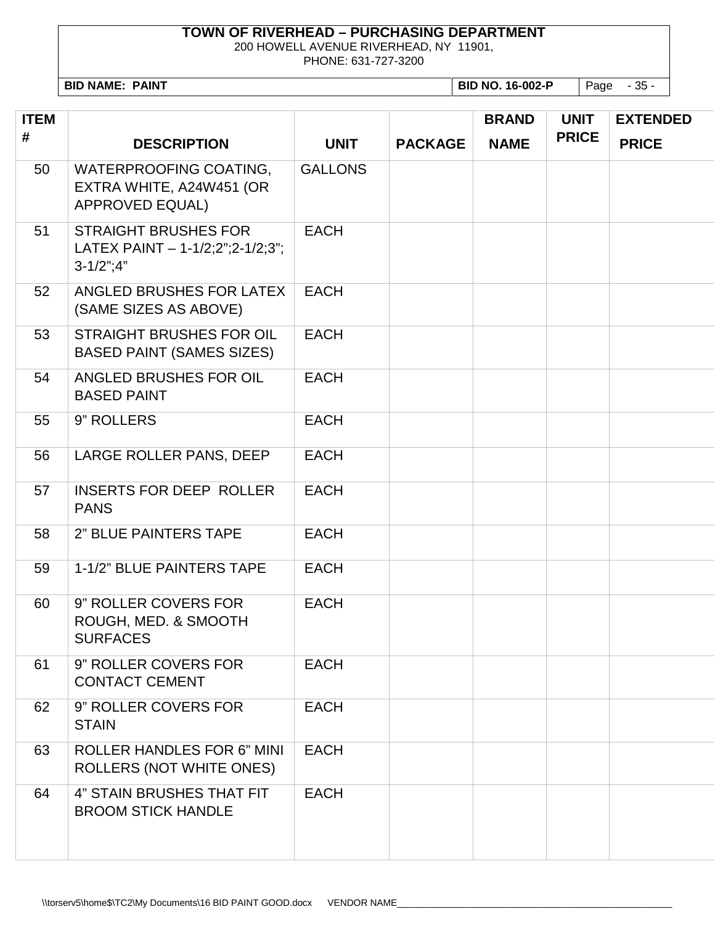200 HOWELL AVENUE RIVERHEAD, NY 11901,

PHONE: 631-727-3200

**BID NAME: PAINT BID NO. 16-002-P** Page - 35 -

| <b>ITEM</b> |                                                                                         |                |                | <b>BRAND</b> | <b>UNIT</b>  | <b>EXTENDED</b> |
|-------------|-----------------------------------------------------------------------------------------|----------------|----------------|--------------|--------------|-----------------|
| #           | <b>DESCRIPTION</b>                                                                      | <b>UNIT</b>    | <b>PACKAGE</b> | <b>NAME</b>  | <b>PRICE</b> | <b>PRICE</b>    |
| 50          | <b>WATERPROOFING COATING,</b><br>EXTRA WHITE, A24W451 (OR<br><b>APPROVED EQUAL)</b>     | <b>GALLONS</b> |                |              |              |                 |
| 51          | <b>STRAIGHT BRUSHES FOR</b><br>LATEX PAINT $- 1 - 1/2; 2$ "; 2-1/2; 3";<br>$3-1/2$ ";4" | <b>EACH</b>    |                |              |              |                 |
| 52          | ANGLED BRUSHES FOR LATEX<br>(SAME SIZES AS ABOVE)                                       | <b>EACH</b>    |                |              |              |                 |
| 53          | <b>STRAIGHT BRUSHES FOR OIL</b><br><b>BASED PAINT (SAMES SIZES)</b>                     | <b>EACH</b>    |                |              |              |                 |
| 54          | ANGLED BRUSHES FOR OIL<br><b>BASED PAINT</b>                                            | <b>EACH</b>    |                |              |              |                 |
| 55          | 9" ROLLERS                                                                              | <b>EACH</b>    |                |              |              |                 |
| 56          | LARGE ROLLER PANS, DEEP                                                                 | <b>EACH</b>    |                |              |              |                 |
| 57          | <b>INSERTS FOR DEEP ROLLER</b><br><b>PANS</b>                                           | <b>EACH</b>    |                |              |              |                 |
| 58          | 2" BLUE PAINTERS TAPE                                                                   | <b>EACH</b>    |                |              |              |                 |
| 59          | 1-1/2" BLUE PAINTERS TAPE                                                               | <b>EACH</b>    |                |              |              |                 |
| 60          | 9" ROLLER COVERS FOR<br>ROUGH, MED. & SMOOTH<br><b>SURFACES</b>                         | <b>EACH</b>    |                |              |              |                 |
| 61          | 9" ROLLER COVERS FOR<br><b>CONTACT CEMENT</b>                                           | <b>EACH</b>    |                |              |              |                 |
| 62          | 9" ROLLER COVERS FOR<br><b>STAIN</b>                                                    | <b>EACH</b>    |                |              |              |                 |
| 63          | <b>ROLLER HANDLES FOR 6" MINI</b><br><b>ROLLERS (NOT WHITE ONES)</b>                    | <b>EACH</b>    |                |              |              |                 |
| 64          | 4" STAIN BRUSHES THAT FIT<br><b>BROOM STICK HANDLE</b>                                  | <b>EACH</b>    |                |              |              |                 |